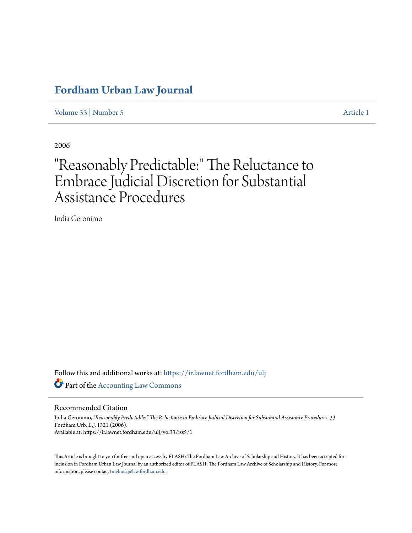# **[Fordham Urban Law Journal](https://ir.lawnet.fordham.edu/ulj?utm_source=ir.lawnet.fordham.edu%2Fulj%2Fvol33%2Fiss5%2F1&utm_medium=PDF&utm_campaign=PDFCoverPages)**

[Volume 33](https://ir.lawnet.fordham.edu/ulj/vol33?utm_source=ir.lawnet.fordham.edu%2Fulj%2Fvol33%2Fiss5%2F1&utm_medium=PDF&utm_campaign=PDFCoverPages) | [Number 5](https://ir.lawnet.fordham.edu/ulj/vol33/iss5?utm_source=ir.lawnet.fordham.edu%2Fulj%2Fvol33%2Fiss5%2F1&utm_medium=PDF&utm_campaign=PDFCoverPages) [Article 1](https://ir.lawnet.fordham.edu/ulj/vol33/iss5/1?utm_source=ir.lawnet.fordham.edu%2Fulj%2Fvol33%2Fiss5%2F1&utm_medium=PDF&utm_campaign=PDFCoverPages)

2006

# "Reasonably Predictable:" The Reluctance to Embrace Judicial Discretion for Substantial Assistance Procedures

India Geronimo

Follow this and additional works at: [https://ir.lawnet.fordham.edu/ulj](https://ir.lawnet.fordham.edu/ulj?utm_source=ir.lawnet.fordham.edu%2Fulj%2Fvol33%2Fiss5%2F1&utm_medium=PDF&utm_campaign=PDFCoverPages) Part of the [Accounting Law Commons](http://network.bepress.com/hgg/discipline/828?utm_source=ir.lawnet.fordham.edu%2Fulj%2Fvol33%2Fiss5%2F1&utm_medium=PDF&utm_campaign=PDFCoverPages)

Recommended Citation

India Geronimo, *"Reasonably Predictable:" The Reluctance to Embrace Judicial Discretion for Substantial Assistance Procedures*, 33 Fordham Urb. L.J. 1321 (2006). Available at: https://ir.lawnet.fordham.edu/ulj/vol33/iss5/1

This Article is brought to you for free and open access by FLASH: The Fordham Law Archive of Scholarship and History. It has been accepted for inclusion in Fordham Urban Law Journal by an authorized editor of FLASH: The Fordham Law Archive of Scholarship and History. For more information, please contact [tmelnick@law.fordham.edu](mailto:tmelnick@law.fordham.edu).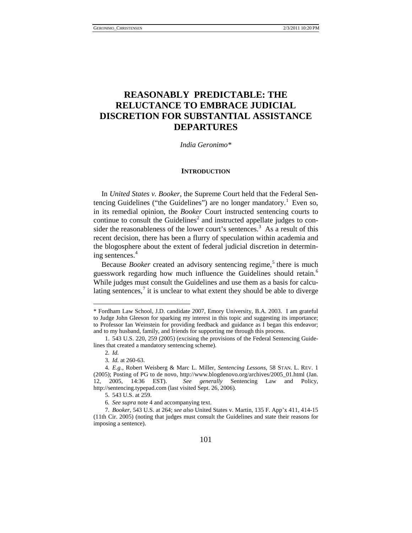# **REASONABLY PREDICTABLE: THE RELUCTANCE TO EMBRACE JUDICIAL DISCRETION FOR SUBSTANTIAL ASSISTANCE DEPARTURES**

*India Geronimo\**

#### **INTRODUCTION**

In *United States v. Booker*, the Supreme Court held that the Federal Sentencing Guidelines ("the Guidelines") are no longer mandatory.<sup>1</sup> Even so, in its remedial opinion, the *Booker* Court instructed sentencing courts to continue to consult the Guidelines<sup>[2](#page-1-2)</sup> and instructed appellate judges to con-sider the reasonableness of the lower court's sentences.<sup>[3](#page-1-3)</sup> As a result of this recent decision, there has been a flurry of speculation within academia and the blogosphere about the extent of federal judicial discretion in determining sentences. [4](#page-1-4)

<span id="page-1-0"></span>Because *Booker* created an advisory sentencing regime,<sup>[5](#page-1-5)</sup> there is much guesswork regarding how much influence the Guidelines should retain.<sup>[6](#page-1-6)</sup> While judges must consult the Guidelines and use them as a basis for calculating sentences, $\frac{7}{1}$  $\frac{7}{1}$  $\frac{7}{1}$  it is unclear to what extent they should be able to diverge

<span id="page-1-1"></span><sup>\*</sup> Fordham Law School, J.D. candidate 2007, Emory University, B.A. 2003. I am grateful to Judge John Gleeson for sparking my interest in this topic and suggesting its importance; to Professor Ian Weinstein for providing feedback and guidance as I began this endeavor; and to my husband, family, and friends for supporting me through this process.

<sup>1.</sup> 543 U.S. 220, 259 (2005) (excising the provisions of the Federal Sentencing Guidelines that created a mandatory sentencing scheme).

<sup>2</sup>*. Id.*

<sup>3</sup>*. Id.* at 260-63.

<span id="page-1-4"></span><span id="page-1-3"></span><span id="page-1-2"></span><sup>4</sup>*. E.g.*, Robert Weisberg & Marc L. Miller, *Sentencing Lessons*, 58 STAN. L. REV. 1 (2005); Posting of PG to de novo, http://www.blogdenovo.org/archives/2005\_01.html (Jan. 12, 2005, 14:36 EST). *See generally* Sentencing Law and Policy, http://sentencing.typepad.com (last visited Sept. 26, 2006).

<sup>5.</sup> 543 U.S. at 259.

<sup>6</sup>*. See supra* not[e 4](#page-1-0) and accompanying text.

<span id="page-1-7"></span><span id="page-1-6"></span><span id="page-1-5"></span><sup>7</sup>*. Booker*, 543 U.S. at 264; *see also* United States v. Martin, 135 F. App'x 411, 414-15 (11th Cir. 2005) (noting that judges must consult the Guidelines and state their reasons for imposing a sentence).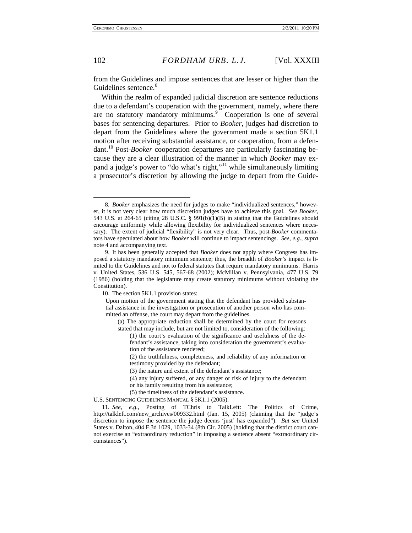<span id="page-2-5"></span><span id="page-2-4"></span>-

### 102 *FORDHAM URB. L.J.* [Vol. XXXIII

from the Guidelines and impose sentences that are lesser or higher than the Guidelines sentence.<sup>[8](#page-2-0)</sup>

Within the realm of expanded judicial discretion are sentence reductions due to a defendant's cooperation with the government, namely, where there are no statutory mandatory minimums.<sup>[9](#page-2-1)</sup> Cooperation is one of several bases for sentencing departures. Prior to *Booker*, judges had discretion to depart from the Guidelines where the government made a section 5K1.1 motion after receiving substantial assistance, or cooperation, from a defendant.[10](#page-2-2) Post-*Booker* cooperation departures are particularly fascinating because they are a clear illustration of the manner in which *Booker* may ex-pand a judge's power to "do what's right,"<sup>[11](#page-2-3)</sup> while simultaneously limiting a prosecutor's discretion by allowing the judge to depart from the Guide-

U.S. SENTENCING GUIDELINES MANUAL § 5K1.1 (2005).

<span id="page-2-0"></span><sup>8</sup>*. Booker* emphasizes the need for judges to make "individualized sentences," however, it is not very clear how much discretion judges have to achieve this goal. *See Booker*, 543 U.S. at 264-65 (citing 28 U.S.C. § 991(b)(1)(B) in stating that the Guidelines should encourage uniformity while allowing flexibility for individualized sentences where necessary). The extent of judicial "flexibility" is not very clear. Thus, post-*Booker* commentators have speculated about how *Booker* will continue to impact sentencings. *See, e.g.*, *supra* note 4 and accompanying text.

<span id="page-2-2"></span><span id="page-2-1"></span><sup>9.</sup> It has been generally accepted that *Booker* does not apply where Congress has imposed a statutory mandatory minimum sentence; thus, the breadth of *Booker*'s impact is limited to the Guidelines and not to federal statutes that require mandatory minimums. [Harris](http://www.lexis.com/research/buttonTFLink?_m=f55c8b115ac18e9c476f1d1433889203&_xfercite=%3ccite%20cc%3d%22USA%22%3e%3c%21%5bCDATA%5b29%20Champion%208%5d%5d%3e%3c%2fcite%3e&_butType=3&_butStat=2&_butNum=97&_butInline=1&_butinfo=%3ccite%20cc%3d%22USA%22%3e%3c%21%5bCDATA%5b536%20U.S.%20545%5d%5d%3e%3c%2fcite%3e&_fmtstr=FULL&docnum=1&_startdoc=1&wchp=dGLbVtb-zSkAW&_md5=49bb8c1ac91c9a1382e24bb0765ec12e)  [v. United States, 536 U.S. 545, 567-68 \(2002\);](http://www.lexis.com/research/buttonTFLink?_m=f55c8b115ac18e9c476f1d1433889203&_xfercite=%3ccite%20cc%3d%22USA%22%3e%3c%21%5bCDATA%5b29%20Champion%208%5d%5d%3e%3c%2fcite%3e&_butType=3&_butStat=2&_butNum=97&_butInline=1&_butinfo=%3ccite%20cc%3d%22USA%22%3e%3c%21%5bCDATA%5b536%20U.S.%20545%5d%5d%3e%3c%2fcite%3e&_fmtstr=FULL&docnum=1&_startdoc=1&wchp=dGLbVtb-zSkAW&_md5=49bb8c1ac91c9a1382e24bb0765ec12e) [McMillan v. Pennsylvania, 477 U.S. 79](http://www.lexis.com/research/buttonTFLink?_m=f55c8b115ac18e9c476f1d1433889203&_xfercite=%3ccite%20cc%3d%22USA%22%3e%3c%21%5bCDATA%5b29%20Champion%208%5d%5d%3e%3c%2fcite%3e&_butType=3&_butStat=2&_butNum=98&_butInline=1&_butinfo=%3ccite%20cc%3d%22USA%22%3e%3c%21%5bCDATA%5b477%20U.S.%2079%5d%5d%3e%3c%2fcite%3e&_fmtstr=FULL&docnum=1&_startdoc=1&wchp=dGLbVtb-zSkAW&_md5=8cb009e3920735f34a5cf168397becc2)  [\(1986\) \(holding that the legislature may create statutory minimums without violating the](http://www.lexis.com/research/buttonTFLink?_m=f55c8b115ac18e9c476f1d1433889203&_xfercite=%3ccite%20cc%3d%22USA%22%3e%3c%21%5bCDATA%5b29%20Champion%208%5d%5d%3e%3c%2fcite%3e&_butType=3&_butStat=2&_butNum=98&_butInline=1&_butinfo=%3ccite%20cc%3d%22USA%22%3e%3c%21%5bCDATA%5b477%20U.S.%2079%5d%5d%3e%3c%2fcite%3e&_fmtstr=FULL&docnum=1&_startdoc=1&wchp=dGLbVtb-zSkAW&_md5=8cb009e3920735f34a5cf168397becc2)  [Constitution\).](http://www.lexis.com/research/buttonTFLink?_m=f55c8b115ac18e9c476f1d1433889203&_xfercite=%3ccite%20cc%3d%22USA%22%3e%3c%21%5bCDATA%5b29%20Champion%208%5d%5d%3e%3c%2fcite%3e&_butType=3&_butStat=2&_butNum=98&_butInline=1&_butinfo=%3ccite%20cc%3d%22USA%22%3e%3c%21%5bCDATA%5b477%20U.S.%2079%5d%5d%3e%3c%2fcite%3e&_fmtstr=FULL&docnum=1&_startdoc=1&wchp=dGLbVtb-zSkAW&_md5=8cb009e3920735f34a5cf168397becc2)

<sup>10.</sup> The section 5K1.1 provision states:

Upon motion of the government stating that the defendant has provided substantial assistance in the investigation or prosecution of another person who has committed an offense, the court may depart from the guidelines.

<sup>(</sup>a) The appropriate reduction shall be determined by the court for reasons stated that may include, but are not limited to, consideration of the following:

<sup>(1)</sup> the court's evaluation of the significance and usefulness of the defendant's assistance, taking into consideration the government's evaluation of the assistance rendered;

<sup>(2)</sup> the truthfulness, completeness, and reliability of any information or testimony provided by the defendant;

<sup>(3)</sup> the nature and extent of the defendant's assistance;

<sup>(4)</sup> any injury suffered, or any danger or risk of injury to the defendant

or his family resulting from his assistance;

<sup>(5)</sup> the timeliness of the defendant's assistance.

<span id="page-2-3"></span><sup>11</sup>*. See, e.g.*, Posting of TChris to TalkLeft: The Politics of Crime, http://talkleft.com/new\_archives/009332.html (Jan. 15, 2005) (claiming that the "judge's discretion to impose the sentence the judge deems 'just' has expanded"). *But see* United States v. Dalton, 404 F.3d 1029, 1033-34 (8th Cir. 2005) (holding that the district court cannot exercise an "extraordinary reduction" in imposing a sentence absent "extraordinary circumstances").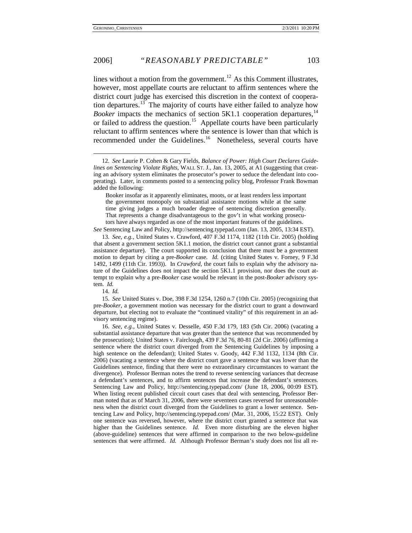lines without a motion from the government.<sup>12</sup> As this Comment illustrates, however, most appellate courts are reluctant to affirm sentences where the district court judge has exercised this discretion in the context of coopera-tion departures.<sup>[13](#page-3-1)</sup> The majority of courts have either failed to analyze how *Booker* impacts the mechanics of section 5K1.1 cooperation departures,  $14$ or failed to address the question.<sup>15</sup> Appellate courts have been particularly reluctant to affirm sentences where the sentence is lower than that which is recommended under the Guidelines.<sup>[16](#page-3-4)</sup> Nonetheless, several courts have

*See* Sentencing Law and Policy, [http://sentencing.typepad.com](http://sentencing.typepad.com/) (Jan. 13, 2005, 13:34 EST).

14*. Id.*

<span id="page-3-5"></span><span id="page-3-0"></span><sup>12</sup>*. See* Laurie P. Cohen & Gary Fields, *Balance of Power: High Court Declares Guidelines on Sentencing Violate Rights*, WALL ST. J., Jan. 13, 2005, at A1 (suggesting that creating an advisory system eliminates the prosecutor's power to seduce the defendant into cooperating). Later, in comments posted to a sentencing policy blog, Professor Frank Bowman added the following:

Booker insofar as it apparently eliminates, moots, or at least renders less important the government monopoly on substantial assistance motions while at the same time giving judges a much broader degree of sentencing discretion generally. That represents a change disadvantageous to the gov't in what working prosecutors have always regarded as one of the most important features of the guidelines.

<span id="page-3-1"></span><sup>13</sup>*. See, e.g.*, [United States v. Crawford, 407 F.3d 1174, 1182 \(11th Cir. 2005\)](http://www.lexis.com/research/buttonTFLink?_m=1d25b8189a3cfdc9ebf781593a29d836&_xfercite=%3ccite%20cc%3d%22USA%22%3e%3c%21%5bCDATA%5b2005%20U.S.%20App.%20LEXIS%2022052%5d%5d%3e%3c%2fcite%3e&_butType=3&_butStat=2&_butNum=8&_butInline=1&_butinfo=%3ccite%20cc%3d%22USA%22%3e%3c%21%5bCDATA%5b407%20F.3d%201174%5d%5d%3e%3c%2fcite%3e&_fmtstr=FULL&docnum=9&_startdoc=1&wchp=dGLbVtb-zSkAW&_md5=7a02e3b6fed4f4163d4cc9d6a7d5f228) (holding that absent a government section 5K1.1 motion, the district court cannot grant a substantial assistance departure). The court supported its conclusion that there must be a government motion to depart by citing a pre-*Booker* case. *Id.* (citing [United States v. Forney, 9 F.3d](http://www.lexis.com/research/buttonTFLink?_m=3cb7cf14aa20204453f3df29437143d4&_xfercite=%3ccite%20cc%3d%22USA%22%3e%3c%21%5bCDATA%5b407%20F.3d%201174%5d%5d%3e%3c%2fcite%3e&_butType=3&_butStat=2&_butNum=57&_butInline=1&_butinfo=%3ccite%20cc%3d%22USA%22%3e%3c%21%5bCDATA%5b9%20F.3d%201492%2cat%201499%5d%5d%3e%3c%2fcite%3e&_fmtstr=FULL&docnum=1&_startdoc=1&wchp=dGLbVlb-zSkAt&_md5=e6645c0759ed820c7c2dc68eda5fe46d)  [1492, 1499 \(11th Cir. 1993\)\)](http://www.lexis.com/research/buttonTFLink?_m=3cb7cf14aa20204453f3df29437143d4&_xfercite=%3ccite%20cc%3d%22USA%22%3e%3c%21%5bCDATA%5b407%20F.3d%201174%5d%5d%3e%3c%2fcite%3e&_butType=3&_butStat=2&_butNum=57&_butInline=1&_butinfo=%3ccite%20cc%3d%22USA%22%3e%3c%21%5bCDATA%5b9%20F.3d%201492%2cat%201499%5d%5d%3e%3c%2fcite%3e&_fmtstr=FULL&docnum=1&_startdoc=1&wchp=dGLbVlb-zSkAt&_md5=e6645c0759ed820c7c2dc68eda5fe46d). In *Crawford*, the court fails to explain why the advisory nature of the Guidelines does not impact the section 5K1.1 provision, nor does the court attempt to explain why a pre-*Booker* case would be relevant in the post-*Booker* advisory system. *Id.*

<span id="page-3-3"></span><span id="page-3-2"></span><sup>15</sup>*. See* United States v. Doe, 398 F.3d 1254, 1260 n.7 (10th Cir. 2005) (recognizing that pre-*Booker*, a government motion was necessary for the district court to grant a downward departure, but electing not to evaluate the "continued vitality" of this requirement in an advisory sentencing regime).

<span id="page-3-4"></span><sup>16</sup>*. See, e.g.*, United States v. Desselle, 450 F.3d 179, 183 (5th Cir. 2006) (vacating a substantial assistance departure that was greater than the sentence that was recommended by the prosecution); United States v. Fairclough, 439 F.3d 76, 80-81 (2d Cir. 2006) (affirming a sentence where the district court diverged from the Sentencing Guidelines by imposing a high sentence on the defendant); United States v. Goody, 442 F.3d 1132, 1134 (8th Cir. 2006) (vacating a sentence where the district court gave a sentence that was lower than the Guidelines sentence, finding that there were no extraordinary circumstances to warrant the divergence). Professor Berman notes the trend to reverse sentencing variances that decrease a defendant's sentences, and to affirm sentences that increase the defendant's sentences. Sentencing Law and Policy, http://sentencing.typepad.com/ (June 18, 2006, 00:09 EST). When listing recent published circuit court cases that deal with sentencing, Professor Berman noted that as of March 31, 2006, there were seventeen cases reversed for unreasonableness when the district court diverged from the Guidelines to grant a lower sentence. Sentencing Law and Policy, http://sentencing.typepad.com/ (Mar. 31, 2006, 15:22 EST). Only one sentence was reversed, however, where the district court granted a sentence that was higher than the Guidelines sentence. *Id.* Even more disturbing are the eleven higher (above-guideline) sentences that were affirmed in comparison to the two below-guideline sentences that were affirmed. *Id.* Although Professor Berman's study does not list all re-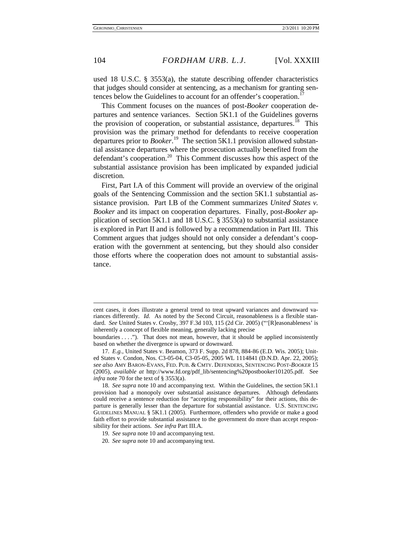l

#### 104 *FORDHAM URB. L.J.* [Vol. XXXIII

used 18 U.S.C. § 3553(a), the statute describing offender characteristics that judges should consider at sentencing, as a mechanism for granting sentences below the Guidelines to account for an offender's cooperation.<sup>1</sup>

<span id="page-4-4"></span>This Comment focuses on the nuances of post-*Booker* cooperation departures and sentence variances. Section 5K1.1 of the Guidelines governs the provision of cooperation, or substantial assistance, departures.<sup>[18](#page-4-1)</sup> This provision was the primary method for defendants to receive cooperation departures prior to *Booker*. [19](#page-4-2) The section 5K1.1 provision allowed substantial assistance departures where the prosecution actually benefited from the defendant's cooperation.<sup>[20](#page-4-3)</sup> This Comment discusses how this aspect of the substantial assistance provision has been implicated by expanded judicial discretion.

First, Part I.A of this Comment will provide an overview of the original goals of the Sentencing Commission and the section 5K1.1 substantial assistance provision. Part I.B of the Comment summarizes *United States v. Booker* and its impact on cooperation departures. Finally, post-*Booker* application of section 5K1.1 and 18 U.S.C.  $\S$  3553(a) to substantial assistance is explored in Part II and is followed by a recommendation in Part III. This Comment argues that judges should not only consider a defendant's cooperation with the government at sentencing, but they should also consider those efforts where the cooperation does not amount to substantial assistance.

- 19*. See supra* not[e 10](#page-2-4) and accompanying text.
- <span id="page-4-3"></span><span id="page-4-2"></span>20*. See supra* not[e 10](#page-2-4) and accompanying text.

cent cases, it does illustrate a general trend to treat upward variances and downward variances differently. *Id.* As noted by the Second Circuit, reasonableness is a flexible standard. *See* United States v. Crosby, 397 F.3d 103, 115 (2d Cir. 2005) ("'[R]easonableness' is inherently a concept of flexible meaning, generally lacking precise

boundaries . . . ."). That does not mean, however, that it should be applied inconsistently based on whether the divergence is upward or downward.

<span id="page-4-0"></span><sup>17</sup>*. E.g.*, United States v. Beamon, 373 F. Supp. 2d 878, 884-86 (E.D. Wis. 2005); United States v. Condon, Nos. C3-05-04, C3-05-05, 2005 WL 1114841 (D.N.D. Apr. 22, 2005); *see also* AMY BARON-EVANS, FED. PUB. & CMTY. DEFENDERS, SENTENCING POST-*BOOKER* 15 (2005), *available at* [http://www.fd.org/pdf\\_lib/sentencing%20postbooker101205.pdf.](http://www.fd.org/pdf_lib/sentencing%20postbooker101205.pdf) See *infra* not[e 70](#page-9-0) for the text of § 3553(a).

<span id="page-4-1"></span><sup>18</sup>*. See supra* note [10](#page-2-4) and accompanying text. Within the Guidelines, the section 5K1.1 provision had a monopoly over substantial assistance departures. Although defendants could receive a sentence reduction for "accepting responsibility" for their actions, this departure is generally lesser than the departure for substantial assistance. U.S. SENTENCING GUIDELINES MANUAL § 5K1.1 (2005). Furthermore, offenders who provide or make a good faith effort to provide substantial assistance to the government do more than accept responsibility for their actions. *See infra* Part III.A.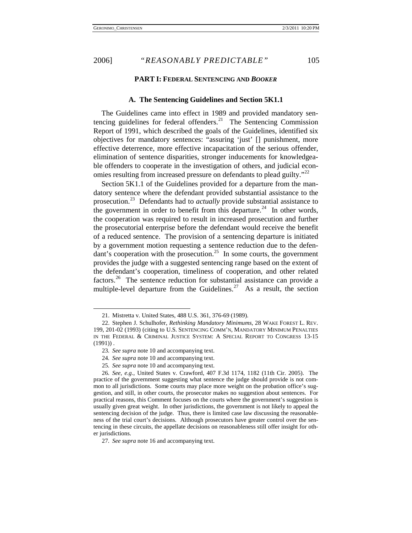<span id="page-5-7"></span>

#### **PART I: FEDERAL SENTENCING AND** *BOOKER*

#### **A. The Sentencing Guidelines and Section 5K1.1**

The Guidelines came into effect in 1989 and provided mandatory sentencing guidelines for federal offenders.<sup>21</sup> The Sentencing Commission Report of 1991, which described the goals of the Guidelines, identified six objectives for mandatory sentences: "assuring 'just' [] punishment, more effective deterrence, more effective incapacitation of the serious offender, elimination of sentence disparities, stronger inducements for knowledgeable offenders to cooperate in the investigation of others, and judicial econ-omies resulting from increased pressure on defendants to plead guilty."<sup>[22](#page-5-1)</sup>

<span id="page-5-8"></span>Section 5K1.1 of the Guidelines provided for a departure from the mandatory sentence where the defendant provided substantial assistance to the prosecution.[23](#page-5-2) Defendants had to *actually* provide substantial assistance to the government in order to benefit from this departure.<sup>[24](#page-5-3)</sup> In other words, the cooperation was required to result in increased prosecution and further the prosecutorial enterprise before the defendant would receive the benefit of a reduced sentence. The provision of a sentencing departure is initiated by a government motion requesting a sentence reduction due to the defen $d$  dant's cooperation with the prosecution.<sup>[25](#page-5-4)</sup> In some courts, the government provides the judge with a suggested sentencing range based on the extent of the defendant's cooperation, timeliness of cooperation, and other related factors.<sup>[26](#page-5-5)</sup> The sentence reduction for substantial assistance can provide a multiple-level departure from the Guidelines.<sup>[27](#page-5-6)</sup> As a result, the section

-

25*. See supra* note [10](#page-2-4) and accompanying text.

<sup>21.</sup> Mistretta v. United States, 488 U.S. 361, 376-69 (1989).

<span id="page-5-1"></span><span id="page-5-0"></span><sup>22.</sup> Stephen J. Schulhofer, *Rethinking Mandatory Minimums*, 28 WAKE FOREST L. REV. 199, 201-02 (1993) (citing to U.S. SENTENCING COMM'N, MANDATORY MINIMUM PENALTIES IN THE FEDERAL & CRIMINAL JUSTICE SYSTEM: A SPECIAL REPORT TO CONGRESS 13-15  $(1991)$ .

<sup>23</sup>*. See supra* note [10](#page-2-4) and accompanying text.

<sup>24</sup>*. See supra* note [10](#page-2-4) and accompanying text.

<span id="page-5-5"></span><span id="page-5-4"></span><span id="page-5-3"></span><span id="page-5-2"></span><sup>26</sup>*. See, e.g.*, [United States v. Crawford, 407 F.3d 1174, 1182 \(11th Cir. 2005\).](http://www.lexis.com/research/buttonTFLink?_m=1d25b8189a3cfdc9ebf781593a29d836&_xfercite=%3ccite%20cc%3d%22USA%22%3e%3c%21%5bCDATA%5b2005%20U.S.%20App.%20LEXIS%2022052%5d%5d%3e%3c%2fcite%3e&_butType=3&_butStat=2&_butNum=8&_butInline=1&_butinfo=%3ccite%20cc%3d%22USA%22%3e%3c%21%5bCDATA%5b407%20F.3d%201174%5d%5d%3e%3c%2fcite%3e&_fmtstr=FULL&docnum=9&_startdoc=1&wchp=dGLbVtb-zSkAW&_md5=7a02e3b6fed4f4163d4cc9d6a7d5f228) The practice of the government suggesting what sentence the judge should provide is not common to all jurisdictions. Some courts may place more weight on the probation office's suggestion, and still, in other courts, the prosecutor makes no suggestion about sentences. For practical reasons, this Comment focuses on the courts where the government's suggestion is usually given great weight. In other jurisdictions, the government is not likely to appeal the sentencing decision of the judge. Thus, there is limited case law discussing the reasonableness of the trial court's decisions. Although prosecutors have greater control over the sentencing in these circuits, the appellate decisions on reasonableness still offer insight for other jurisdictions.

<span id="page-5-6"></span><sup>27</sup>*. See supra* note [16](#page-3-5) and accompanying text.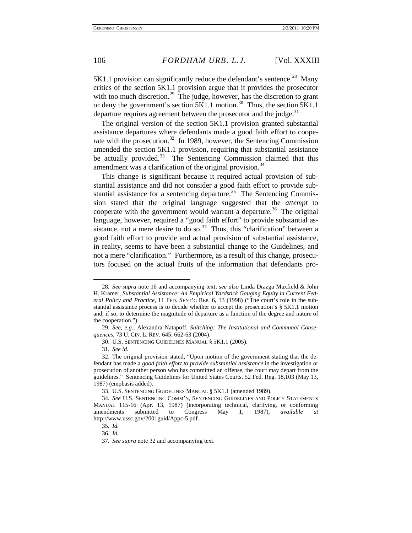5K1.1 provision can significantly reduce the defendant's sentence.<sup>[28](#page-6-1)</sup> Many critics of the section 5K1.1 provision argue that it provides the prosecutor with too much discretion.<sup>[29](#page-6-2)</sup> The judge, however, has the discretion to grant or deny the government's section  $5K1.1$  motion.<sup>30</sup> Thus, the section  $5K1.1$ departure requires agreement between the prosecutor and the judge.<sup>[31](#page-6-4)</sup>

<span id="page-6-0"></span>The original version of the section 5K1.1 provision granted substantial assistance departures where defendants made a good faith effort to coope-rate with the prosecution.<sup>[32](#page-6-5)</sup> In 1989, however, the Sentencing Commission amended the section 5K1.1 provision, requiring that substantial assistance be actually provided.<sup>33</sup> The Sentencing Commission claimed that this amendment was a clarification of the original provision.<sup>[34](#page-6-7)</sup>

This change is significant because it required actual provision of substantial assistance and did not consider a good faith effort to provide substantial assistance for a sentencing departure.<sup>35</sup> The Sentencing Commission stated that the original language suggested that the *attempt* to cooperate with the government would warrant a departure.<sup>[36](#page-6-9)</sup> The original language, however, required a "good faith effort" to provide substantial as-sistance, not a mere desire to do so.<sup>[37](#page-6-10)</sup> Thus, this "clarification" between a good faith effort to provide and actual provision of substantial assistance, in reality, seems to have been a substantial change to the Guidelines, and not a mere "clarification." Furthermore, as a result of this change, prosecutors focused on the actual fruits of the information that defendants pro-

-

36*. Id.*

<span id="page-6-1"></span><sup>28</sup>*. See supra* note [16](#page-3-5) and accompanying text; *see also* Linda Drazga Maxfield & John H. Kramer, *Substantial Assistance: An Empirical Yardstick Gauging Equity in Current Federal Policy and Practice*, 11 FED. SENT'G REP. 6, 13 (1998) ("The court's role in the substantial assistance process is to decide whether to accept the prosecution's § 5K1.1 motion and, if so, to determine the magnitude of departure as a function of the degree and nature of the cooperation.").

<span id="page-6-3"></span><span id="page-6-2"></span><sup>29</sup>*. See, e.g.*, Alexandra Natapoff, *Snitching: The Institutional and Communal Consequences*, 73 U. CIN. L. REV. 645, 662-63 (2004).

<sup>30.</sup> U.S. SENTENCING GUIDELINES MANUAL § 5K1.1 (2005).

<sup>31</sup>*. See id.*

<span id="page-6-5"></span><span id="page-6-4"></span><sup>32.</sup> The original provision stated, "Upon motion of the government stating that the defendant has made a *good faith effort to provide substantial assistance* in the investigation or prosecution of another person who has committed an offense, the court may depart from the guidelines." Sentencing Guidelines for United States Courts, 52 Fed. Reg. 18,103 (May 13, 1987) (emphasis added).

<sup>33.</sup> U.S. SENTENCING GUIDELINES MANUAL § 5K1.1 (amended 1989).

<span id="page-6-9"></span><span id="page-6-8"></span><span id="page-6-7"></span><span id="page-6-6"></span><sup>34</sup>*. See* U.S. SENTENCING COMM'N, SENTENCING GUIDELINES AND POLICY STATEMENTS MANUAL 115-16 (Apr. 13, 1987) (incorporating technical, clarifying, or conforming amendments submitted to Congress May 1, 1987), *available at* http://www.ussc.gov/2001guid/Appc-5.pdf.

<sup>35</sup>*. Id.*

<span id="page-6-10"></span><sup>37</sup>*. See supra* note [32](#page-6-0) and accompanying text.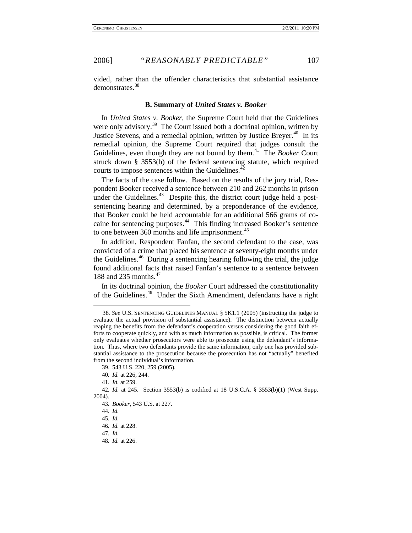vided, rather than the offender characteristics that substantial assistance demonstrates.<sup>[38](#page-7-0)</sup>

#### **B. Summary of** *United States v. Booker*

In *United States v. Booker,* the Supreme Court held that the Guidelines were only advisory.<sup>39</sup> The Court issued both a doctrinal opinion, written by Justice Stevens, and a remedial opinion, written by Justice Breyer.<sup>[40](#page-7-2)</sup> In its remedial opinion, the Supreme Court required that judges consult the Guidelines, even though they are not bound by them.<sup>[41](#page-7-3)</sup> The *Booker* Court struck down § 3553(b) of the federal sentencing statute, which required courts to impose sentences within the Guidelines. $42$ 

The facts of the case follow. Based on the results of the jury trial, Respondent Booker received a sentence between 210 and 262 months in prison under the Guidelines. $43$  Despite this, the district court judge held a postsentencing hearing and determined, by a preponderance of the evidence, that Booker could be held accountable for an additional 566 grams of cocaine for sentencing purposes.<sup>44</sup> This finding increased Booker's sentence to one between  $360$  months and life imprisonment.<sup>[45](#page-7-7)</sup>

In addition, Respondent Fanfan, the second defendant to the case, was convicted of a crime that placed his sentence at seventy-eight months under the Guidelines.[46](#page-7-8) During a sentencing hearing following the trial, the judge found additional facts that raised Fanfan's sentence to a sentence between 188 and 235 months.<sup>[47](#page-7-9)</sup>

In its doctrinal opinion, the *Booker* Court addressed the constitutionality of the Guidelines. $48$  Under the Sixth Amendment, defendants have a right

<span id="page-7-0"></span><sup>38</sup>*. See* U.S. SENTENCING GUIDELINES MANUAL § 5K1.1 (2005) (instructing the judge to evaluate the actual provision of substantial assistance). The distinction between actually reaping the benefits from the defendant's cooperation versus considering the good faith efforts to cooperate quickly, and with as much information as possible, is critical. The former only evaluates whether prosecutors were able to prosecute using the defendant's information. Thus, where two defendants provide the same information, only one has provided substantial assistance to the prosecution because the prosecution has not "actually" benefited from the second individual's information.

<sup>39.</sup> 543 U.S. 220, 259 (2005).

<sup>40</sup>*. Id.* at 226, 244.

<sup>41</sup>*. Id.* at 259.

<span id="page-7-8"></span><span id="page-7-7"></span><span id="page-7-6"></span><span id="page-7-5"></span><span id="page-7-4"></span><span id="page-7-3"></span><span id="page-7-2"></span><span id="page-7-1"></span><sup>42</sup>*. Id.* at 245. Section 3553(b) is codified at 18 U.S.C.A. § 3553(b)(1) (West Supp. 2004).

<sup>43</sup>*. Booker*, 543 U.S. at 227.

<sup>44</sup>*. Id.*

<sup>45</sup>*. Id.*

<sup>46</sup>*. Id.* at 228.

<span id="page-7-9"></span><sup>47</sup>*. Id.*

<span id="page-7-10"></span><sup>48</sup>*. Id.* at 226.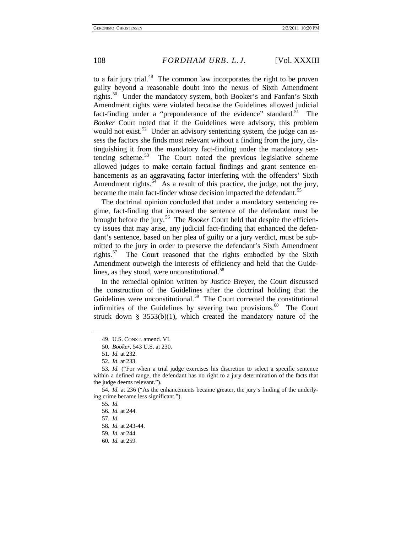to a fair jury trial.<sup>49</sup> The common law incorporates the right to be proven guilty beyond a reasonable doubt into the nexus of Sixth Amendment rights.<sup>[50](#page-8-1)</sup> Under the mandatory system, both Booker's and Fanfan's Sixth Amendment rights were violated because the Guidelines allowed judicial fact-finding under a "preponderance of the evidence" standard.<sup>[51](#page-8-2)</sup> The *Booker* Court noted that if the Guidelines were advisory, this problem would not exist.<sup>[52](#page-8-3)</sup> Under an advisory sentencing system, the judge can assess the factors she finds most relevant without a finding from the jury, distinguishing it from the mandatory fact-finding under the mandatory sentencing scheme.<sup>53</sup> The Court noted the previous legislative scheme allowed judges to make certain factual findings and grant sentence enhancements as an aggravating factor interfering with the offenders' Sixth Amendment rights.<sup>54</sup> As a result of this practice, the judge, not the jury, became the main fact-finder whose decision impacted the defendant.<sup>[55](#page-8-6)</sup>

The doctrinal opinion concluded that under a mandatory sentencing regime, fact-finding that increased the sentence of the defendant must be brought before the jury.<sup>[56](#page-8-7)</sup> The *Booker* Court held that despite the efficiency issues that may arise, any judicial fact-finding that enhanced the defendant's sentence, based on her plea of guilty or a jury verdict, must be submitted to the jury in order to preserve the defendant's Sixth Amendment rights.<sup>[57](#page-8-8)</sup> The Court reasoned that the rights embodied by the Sixth Amendment outweigh the interests of efficiency and held that the Guide-lines, as they stood, were unconstitutional.<sup>[58](#page-8-9)</sup>

In the remedial opinion written by Justice Breyer, the Court discussed the construction of the Guidelines after the doctrinal holding that the Guidelines were unconstitutional.<sup>59</sup> The Court corrected the constitutional infirmities of the Guidelines by severing two provisions.<sup>[60](#page-8-11)</sup> The Court struck down  $\S$  3553(b)(1), which created the mandatory nature of the

<sup>49.</sup> U.S. CONST. amend. VI.

<sup>50</sup>*. Booker*, 543 U.S. at 230.

<sup>51</sup>*. Id.* at 232.

<sup>52</sup>*. Id.* at 233.

<span id="page-8-4"></span><span id="page-8-3"></span><span id="page-8-2"></span><span id="page-8-1"></span><span id="page-8-0"></span><sup>53</sup>*. Id.* ("For when a trial judge exercises his discretion to select a specific sentence within a defined range, the defendant has no right to a jury determination of the facts that the judge deems relevant.").

<span id="page-8-9"></span><span id="page-8-8"></span><span id="page-8-7"></span><span id="page-8-6"></span><span id="page-8-5"></span><sup>54</sup>*. Id.* at 236 ("As the enhancements became greater, the jury's finding of the underlying crime became less significant.").

<sup>55</sup>*. Id.*

<sup>56</sup>*. Id.* at 244.

<sup>57</sup>*. Id.*

<sup>58</sup>*. Id.* at 243-44.

<span id="page-8-11"></span><span id="page-8-10"></span><sup>59</sup>*. Id.* at 244.

<sup>60</sup>*. Id.* at 259.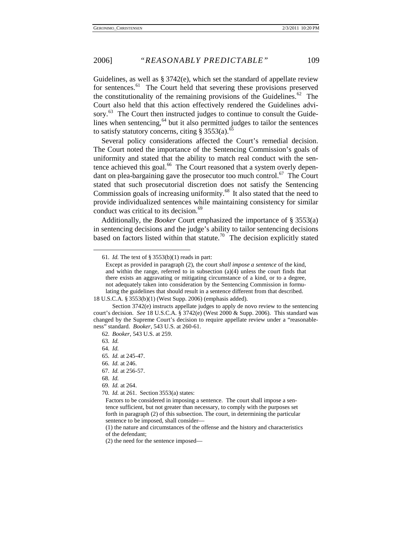Guidelines, as well as § 3742(e), which set the standard of appellate review for sentences.<sup>[61](#page-9-1)</sup> The Court held that severing these provisions preserved the constitutionality of the remaining provisions of the Guidelines.<sup>[62](#page-9-2)</sup> The Court also held that this action effectively rendered the Guidelines advi-sory.<sup>[63](#page-9-3)</sup> The Court then instructed judges to continue to consult the Guidelines when sentencing, $64$  but it also permitted judges to tailor the sentences to satisfy statutory concerns, citing  $\S 3553(a)$ .<sup>[65](#page-9-5)</sup>

<span id="page-9-11"></span>Several policy considerations affected the Court's remedial decision. The Court noted the importance of the Sentencing Commission's goals of uniformity and stated that the ability to match real conduct with the sen-tence achieved this goal.<sup>[66](#page-9-6)</sup> The Court reasoned that a system overly dependant on plea-bargaining gave the prosecutor too much control. $^{67}$  The Court stated that such prosecutorial discretion does not satisfy the Sentencing Commission goals of increasing uniformity.<sup>[68](#page-9-8)</sup> It also stated that the need to provide individualized sentences while maintaining consistency for similar conduct was critical to its decision.<sup>[69](#page-9-9)</sup>

<span id="page-9-1"></span>Additionally, the *Booker* Court emphasized the importance of § 3553(a) in sentencing decisions and the judge's ability to tailor sentencing decisions based on factors listed within that statute.<sup>[70](#page-9-10)</sup> The decision explicitly stated

<sup>61</sup>*. Id.* The text of § 3553(b)(1) reads in part:

<span id="page-9-0"></span>Except as provided in paragraph (2), the court *shall impose a sentence* of the kind, and within the range, referred to in subsection  $(a)(4)$  unless the court finds that there exists an aggravating or mitigating circumstance of a kind, or to a degree, not adequately taken into consideration by the Sentencing Commission in formulating the guidelines that should result in a sentence different from that described.

<sup>18</sup> U.S.C.A. § [3553\(b\)\(1\) \(West Supp. 2006\)](http://web2.westlaw.com/find/default.wl?rs=WLW5.11&tf=-1&docname=18USCAS3553&db=1000546&tc=-1&fn=_top&referenceposition=40&mt=Westlaw&vr=2.0&sv=Split&referencepositiontype=S&rp=%2ffind%2fdefault.wl&findtype=L) (emphasis added).

<span id="page-9-3"></span><span id="page-9-2"></span>Section 3742(e) instructs appellate judges to apply de novo review to the sentencing court's decision. *See* [18 U.S.C.A. § 3742\(e\)](http://web2.westlaw.com/find/default.wl?rs=WLW5.11&tf=-1&docname=18USCAS3742&db=1000546&tc=-1&fn=_top&referenceposition=40&mt=Westlaw&vr=2.0&sv=Split&referencepositiontype=S&rp=%2ffind%2fdefault.wl&findtype=L) (West 2000 & Supp. 2006). This standard was changed by the Supreme Court's decision to require appellate review under a "reasonableness" standard. *Booker*, 543 U.S. at 260-61.

<sup>62</sup>*. Booker*, 543 U.S. at 259.

<sup>63</sup>*. Id.*

<span id="page-9-4"></span><sup>64</sup>*. Id.*

<span id="page-9-5"></span><sup>65</sup>*. Id.* at 245-47.

<span id="page-9-6"></span><sup>66</sup>*. Id.* at 246.

<span id="page-9-7"></span><sup>67</sup>*. Id.* at 256-57.

<span id="page-9-8"></span><sup>68</sup>*. Id.*

<span id="page-9-9"></span><sup>69</sup>*. Id.* at 264.

<span id="page-9-10"></span><sup>70</sup>*. Id.* at 261. Section 3553(a) states:

Factors to be considered in imposing a sentence. The court shall impose a sentence sufficient, but not greater than necessary, to comply with the purposes set forth in paragraph (2) of this subsection. The court, in determining the particular sentence to be imposed, shall consider—

<sup>(1)</sup> the nature and circumstances of the offense and the history and characteristics of the defendant;

<sup>(2)</sup> the need for the sentence imposed—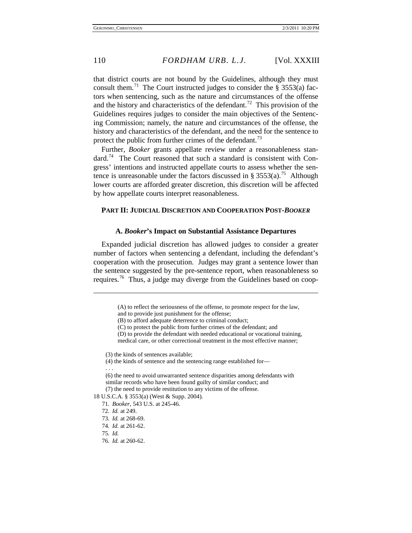that district courts are not bound by the Guidelines, although they must consult them.<sup>[71](#page-10-0)</sup> The Court instructed judges to consider the § 3553(a) factors when sentencing, such as the nature and circumstances of the offense and the history and characteristics of the defendant.<sup>[72](#page-10-1)</sup> This provision of the Guidelines requires judges to consider the main objectives of the Sentencing Commission; namely, the nature and circumstances of the offense, the history and characteristics of the defendant, and the need for the sentence to protect the public from further crimes of the defendant.<sup>[73](#page-10-2)</sup>

Further, *Booker* grants appellate review under a reasonableness standard.<sup>74</sup> The Court reasoned that such a standard is consistent with Congress' intentions and instructed appellate courts to assess whether the sen-tence is unreasonable under the factors discussed in § 3553(a).<sup>[75](#page-10-4)</sup> Although lower courts are afforded greater discretion, this discretion will be affected by how appellate courts interpret reasonableness.

#### **PART II: JUDICIAL DISCRETION AND COOPERATION POST-***BOOKER*

#### **A.** *Booker***'s Impact on Substantial Assistance Departures**

Expanded judicial discretion has allowed judges to consider a greater number of factors when sentencing a defendant, including the defendant's cooperation with the prosecution. Judges may grant a sentence lower than the sentence suggested by the pre-sentence report, when reasonableness so requires.<sup>[76](#page-10-5)</sup> Thus, a judge may diverge from the Guidelines based on coop-

<span id="page-10-6"></span>l

<sup>(</sup>A) to reflect the seriousness of the offense, to promote respect for the law,

and to provide just punishment for the offense;

<sup>(</sup>B) to afford adequate deterrence to criminal conduct;

<sup>(</sup>C) to protect the public from further crimes of the defendant; and

<sup>(</sup>D) to provide the defendant with needed educational or vocational training, medical care, or other correctional treatment in the most effective manner;

<sup>(3)</sup> the kinds of sentences available;

<sup>(4)</sup> the kinds of sentence and the sentencing range established for— . . .

<sup>(6)</sup> the need to avoid unwarranted sentence disparities among defendants with similar records who have been found guilty of similar conduct; and (7) the need to provide restitution to any victims of the offense.

<span id="page-10-4"></span><span id="page-10-3"></span><span id="page-10-2"></span><span id="page-10-1"></span><span id="page-10-0"></span>[<sup>18</sup> U.S.C.A. § 3553\(a\)](http://web2.westlaw.com/find/default.wl?rs=WLW5.11&tf=-1&docname=18USCAS3553&db=1000546&tc=-1&fn=_top&referenceposition=40&mt=Westlaw&vr=2.0&sv=Split&referencepositiontype=S&rp=%2ffind%2fdefault.wl&findtype=L) (West & Supp. 2004).

<sup>71</sup>*. Booker*, 543 U.S. at 245-46.

<sup>72</sup>*. Id.* at 249.

<sup>73</sup>*. Id.* at 268-69.

<sup>74</sup>*. Id.* at 261-62.

<sup>75</sup>*. Id.*

<span id="page-10-5"></span><sup>76</sup>*. Id.* at 260-62.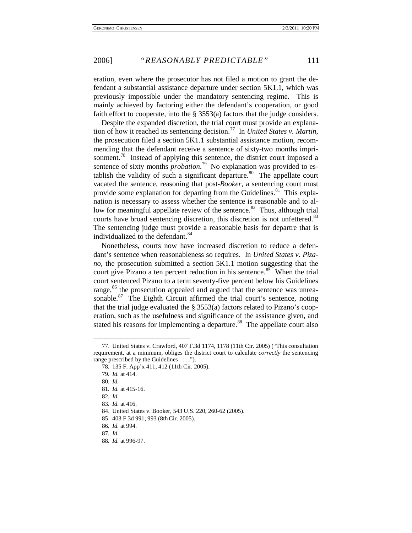eration, even where the prosecutor has not filed a motion to grant the defendant a substantial assistance departure under section 5K1.1, which was previously impossible under the mandatory sentencing regime. This is mainly achieved by factoring either the defendant's cooperation, or good faith effort to cooperate, into the § 3553(a) factors that the judge considers.

Despite the expanded discretion, the trial court must provide an explanation of how it reached its sentencing decision.[77](#page-11-0) In *United States v. Martin*, the prosecution filed a section 5K1.1 substantial assistance motion, recommending that the defendant receive a sentence of sixty-two months impri-sonment.<sup>[78](#page-11-1)</sup> Instead of applying this sentence, the district court imposed a sentence of sixty months *probation*. [79](#page-11-2) No explanation was provided to establish the validity of such a significant departure.<sup>80</sup> The appellate court vacated the sentence, reasoning that post-*Booker*, a sentencing court must provide some explanation for departing from the Guidelines.<sup>[81](#page-11-4)</sup> This explanation is necessary to assess whether the sentence is reasonable and to allow for meaningful appellate review of the sentence.<sup>82</sup> Thus, although trial courts have broad sentencing discretion, this discretion is not unfettered.<sup>83</sup> The sentencing judge must provide a reasonable basis for departre that is individualized to the defendant.<sup>[84](#page-11-7)</sup>

Nonetheless, courts now have increased discretion to reduce a defendant's sentence when reasonableness so requires. In *United States v. Pizano*, the prosecution submitted a section 5K1.1 motion suggesting that the court give Pizano a ten percent reduction in his sentence.<sup>[85](#page-11-8)</sup> When the trial court sentenced Pizano to a term seventy-five percent below his Guidelines range,<sup>[86](#page-11-9)</sup> the prosecution appealed and argued that the sentence was unrea-sonable.<sup>[87](#page-11-10)</sup> The Eighth Circuit affirmed the trial court's sentence, noting that the trial judge evaluated the § 3553(a) factors related to Pizano's cooperation, such as the usefulness and significance of the assistance given, and stated his reasons for implementing a departure.<sup>[88](#page-11-11)</sup> The appellate court also

<span id="page-11-3"></span><span id="page-11-2"></span><span id="page-11-1"></span><span id="page-11-0"></span><sup>77.</sup> United States v. Crawford, 407 F.3d 1174, 1178 (11th Cir. 2005) ("This consultation requirement, at a minimum, obliges the district court to calculate *correctly* the sentencing range prescribed by the Guidelines . . . .").

<sup>78</sup>*.* 135 F. App'x 411, 412 (11th Cir. 2005).

<sup>79</sup>*. Id.* at 414.

<sup>80</sup>*. Id.*

<span id="page-11-4"></span><sup>81</sup>*. Id.* at 415-16.

<span id="page-11-5"></span><sup>82</sup>*. Id.*

<span id="page-11-6"></span><sup>83</sup>*. Id.* at 416.

<span id="page-11-7"></span><sup>84.</sup> United States v. Booker, 543 U.S. 220, 260-62 (2005).

<sup>85.</sup> 403 F.3d 991, 993 (8thCir. 2005).

<span id="page-11-10"></span><span id="page-11-9"></span><span id="page-11-8"></span><sup>86</sup>*. Id.* at 994.

<sup>87</sup>*. Id.*

<span id="page-11-11"></span><sup>88</sup>*. Id.* at 996-97.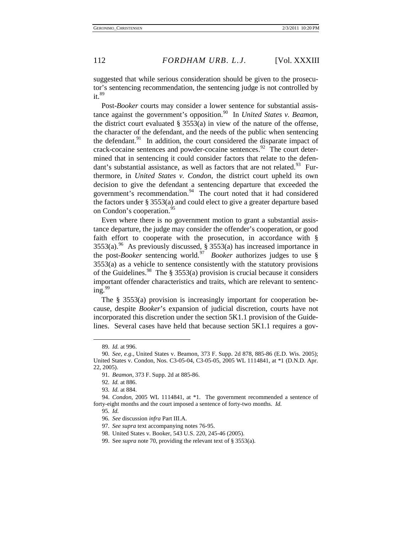suggested that while serious consideration should be given to the prosecutor's sentencing recommendation, the sentencing judge is not controlled by  $it.89$  $it.89$ 

Post-*Booker* courts may consider a lower sentence for substantial assistance against the government's opposition.<sup>90</sup> In *United States v. Beamon*, the district court evaluated  $\S$  3553(a) in view of the nature of the offense, the character of the defendant, and the needs of the public when sentencing the defendant. $91$  In addition, the court considered the disparate impact of crack-cocaine sentences and powder-cocaine sentences. $^{92}$  $^{92}$  $^{92}$  The court determined that in sentencing it could consider factors that relate to the defendant's substantial assistance, as well as factors that are not related.<sup>93</sup> Furthermore, in *United States v. Condon*, the district court upheld its own decision to give the defendant a sentencing departure that exceeded the government's recommendation.<sup>[94](#page-12-6)</sup> The court noted that it had considered the factors under § 3553(a) and could elect to give a greater departure based on Condon's cooperation.<sup>[95](#page-12-7)</sup>

<span id="page-12-0"></span>Even where there is no government motion to grant a substantial assistance departure, the judge may consider the offender's cooperation, or good faith effort to cooperate with the prosecution, in accordance with §  $3553(a).$ <sup>[96](#page-12-8)</sup> As previously discussed, § 3553(a) has increased importance in the post-*Booker* sentencing world.<sup>97</sup> *Booker* authorizes judges to use § 3553(a) as a vehicle to sentence consistently with the statutory provisions of the Guidelines.<sup>[98](#page-12-10)</sup> The § 3553(a) provision is crucial because it considers important offender characteristics and traits, which are relevant to sentenc- $ing.<sup>99</sup>$  $ing.<sup>99</sup>$  $ing.<sup>99</sup>$ 

<span id="page-12-12"></span>The § 3553(a) provision is increasingly important for cooperation because, despite *Booker*'s expansion of judicial discretion, courts have not incorporated this discretion under the section 5K1.1 provision of the Guidelines. Several cases have held that because section 5K1.1 requires a gov-

<sup>89</sup>*. Id.* at 996.

<span id="page-12-3"></span><span id="page-12-2"></span><span id="page-12-1"></span><sup>90</sup>*. See, e.g.*, United States v. Beamon, 373 F. Supp. 2d 878, 885-86 (E.D. Wis. 2005); United States v. Condon, Nos. C3-05-04, C3-05-05, 2005 WL 1114841, at \*1 (D.N.D. Apr. 22, 2005).

<sup>91</sup>*. Beamon*, 373 F. Supp. 2d at 885-86.

<sup>92</sup>*. Id.* at 886.

<sup>93</sup>*. Id.* at 884.

<span id="page-12-10"></span><span id="page-12-9"></span><span id="page-12-8"></span><span id="page-12-7"></span><span id="page-12-6"></span><span id="page-12-5"></span><span id="page-12-4"></span><sup>94.</sup> *Condon*, 2005 WL 1114841, at \*1. The government recommended a sentence of forty-eight months and the court imposed a sentence of forty-two months. *Id.*

<sup>95</sup>*. Id.*

<sup>96</sup>*. See* discussion *infra* Part III.A.

<sup>97</sup>*. See supra* text accompanying notes [76](#page-10-6)[-95.](#page-12-0)

<sup>98.</sup> United States v. Booker, 543 U.S. 220, 245-46 (2005).

<span id="page-12-11"></span><sup>99.</sup> See *supra* not[e 70,](#page-9-0) providing the relevant text of § 3553(a).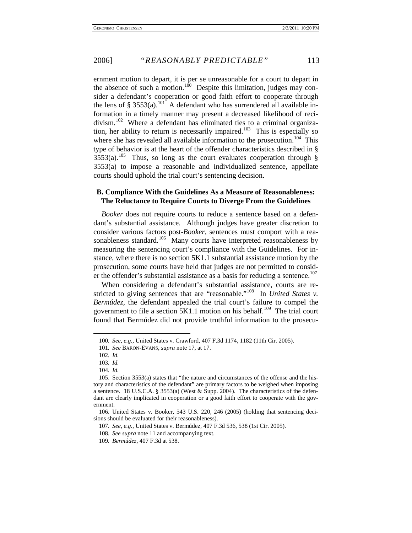ernment motion to depart, it is per se unreasonable for a court to depart in the absence of such a motion.<sup>100</sup> Despite this limitation, judges may consider a defendant's cooperation or good faith effort to cooperate through the lens of § 3553(a).<sup>[101](#page-13-1)</sup> A defendant who has surrendered all available information in a timely manner may present a decreased likelihood of reci-divism.<sup>[102](#page-13-2)</sup> Where a defendant has eliminated ties to a criminal organiza-tion, her ability to return is necessarily impaired.<sup>[103](#page-13-3)</sup> This is especially so where she has revealed all available information to the prosecution.<sup>104</sup> This type of behavior is at the heart of the offender characteristics described in §  $3553(a)$ .<sup>[105](#page-13-5)</sup> Thus, so long as the court evaluates cooperation through § 3553(a) to impose a reasonable and individualized sentence, appellate courts should uphold the trial court's sentencing decision.

#### <span id="page-13-10"></span>**B. Compliance With the Guidelines As a Measure of Reasonableness: The Reluctance to Require Courts to Diverge From the Guidelines**

*Booker* does not require courts to reduce a sentence based on a defendant's substantial assistance. Although judges have greater discretion to consider various factors post-*Booker*, sentences must comport with a reasonableness standard.<sup>106</sup> Many courts have interpreted reasonableness by measuring the sentencing court's compliance with the Guidelines. For instance, where there is no section 5K1.1 substantial assistance motion by the prosecution, some courts have held that judges are not permitted to consid-er the offender's substantial assistance as a basis for reducing a sentence.<sup>[107](#page-13-7)</sup>

When considering a defendant's substantial assistance, courts are restricted to giving sentences that are "reasonable."<sup>108</sup> In *United States v*. *Bermúdez*, the defendant appealed the trial court's failure to compel the government to file a section  $5K1.1$  motion on his behalf.<sup>[109](#page-13-9)</sup> The trial court found that Bermúdez did not provide truthful information to the prosecu-

<sup>100</sup>*. See, e.g.*, [United States v. Crawford, 407 F.3d 1174, 1182 \(11th](http://www.lexis.com/research/buttonTFLink?_m=1d25b8189a3cfdc9ebf781593a29d836&_xfercite=%3ccite%20cc%3d%22USA%22%3e%3c%21%5bCDATA%5b2005%20U.S.%20App.%20LEXIS%2022052%5d%5d%3e%3c%2fcite%3e&_butType=3&_butStat=2&_butNum=8&_butInline=1&_butinfo=%3ccite%20cc%3d%22USA%22%3e%3c%21%5bCDATA%5b407%20F.3d%201174%5d%5d%3e%3c%2fcite%3e&_fmtstr=FULL&docnum=9&_startdoc=1&wchp=dGLbVtb-zSkAW&_md5=7a02e3b6fed4f4163d4cc9d6a7d5f228) Cir. 2005).

<span id="page-13-0"></span><sup>101</sup>*. See* BARON-EVANS, *supra* note 17, at 17.

<sup>102</sup>*. Id.*

<sup>103</sup>*. Id.*

<sup>104</sup>*. Id.*

<span id="page-13-5"></span><span id="page-13-4"></span><span id="page-13-3"></span><span id="page-13-2"></span><span id="page-13-1"></span><sup>105.</sup> Section 3553(a) states that "the nature and circumstances of the offense and the history and characteristics of the defendant" are primary factors to be weighed when imposing a sentence. [18 U.S.C.A. § 3553\(a\)](http://web2.westlaw.com/find/default.wl?rs=WLW5.11&tf=-1&docname=18USCAS3553&db=1000546&tc=-1&fn=_top&referenceposition=40&mt=Westlaw&vr=2.0&sv=Split&referencepositiontype=S&rp=%2ffind%2fdefault.wl&findtype=L) (West & Supp. 2004). The characteristics of the defendant are clearly implicated in cooperation or a good faith effort to cooperate with the government.

<span id="page-13-9"></span><span id="page-13-8"></span><span id="page-13-7"></span><span id="page-13-6"></span><sup>106.</sup> United States v. Booker, 543 U.S. 220, 246 (2005) (holding that sentencing decisions should be evaluated for their reasonableness).

<sup>107</sup>*. See, e.g.*, United States v. Bermúdez, 407 F.3d 536, 538 (1st Cir. 2005).

<sup>108</sup>*. See supra* note [11](#page-2-5) and accompanying text.

<sup>109</sup>*. Bermúdez*, 407 F.3d at 538.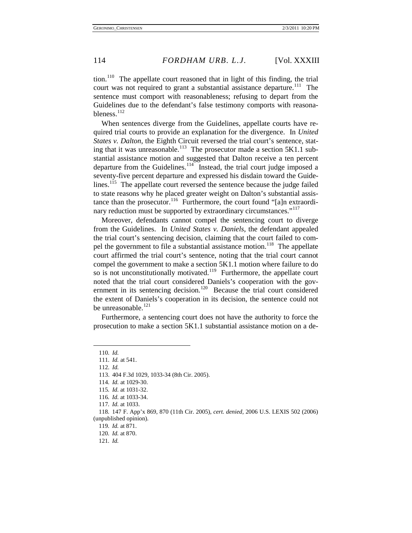tion.<sup>110</sup> The appellate court reasoned that in light of this finding, the trial court was not required to grant a substantial assistance departure.<sup>111</sup> The sentence must comport with reasonableness; refusing to depart from the Guidelines due to the defendant's false testimony comports with reasonableness. $^{112}$  $^{112}$  $^{112}$ 

When sentences diverge from the Guidelines, appellate courts have required trial courts to provide an explanation for the divergence. In *United States v. Dalton*, the Eighth Circuit reversed the trial court's sentence, stat-ing that it was unreasonable.<sup>[113](#page-14-3)</sup> The prosecutor made a section 5K1.1 substantial assistance motion and suggested that Dalton receive a ten percent departure from the Guidelines.<sup>114</sup> Instead, the trial court judge imposed a seventy-five percent departure and expressed his disdain toward the Guide-lines.<sup>[115](#page-14-5)</sup> The appellate court reversed the sentence because the judge failed to state reasons why he placed greater weight on Dalton's substantial assis-tance than the prosecutor.<sup>[116](#page-14-6)</sup> Furthermore, the court found "[a]n extraordi-nary reduction must be supported by extraordinary circumstances."<sup>[117](#page-14-7)</sup>

Moreover, defendants cannot compel the sentencing court to diverge from the Guidelines. In *United States v. Daniels*, the defendant appealed the trial court's sentencing decision, claiming that the court failed to compel the government to file a substantial assistance motion.<sup>118</sup> The appellate court affirmed the trial court's sentence, noting that the trial court cannot compel the government to make a section 5K1.1 motion where failure to do so is not unconstitutionally motivated.<sup>119</sup> Furthermore, the appellate court noted that the trial court considered Daniels's cooperation with the government in its sentencing decision.<sup>120</sup> Because the trial court considered the extent of Daniels's cooperation in its decision, the sentence could not be unreasonable.<sup>[121](#page-14-11)</sup>

Furthermore, a sentencing court does not have the authority to force the prosecution to make a section 5K1.1 substantial assistance motion on a de-

<span id="page-14-0"></span><sup>110</sup>*. Id.*

<span id="page-14-2"></span><span id="page-14-1"></span><sup>111</sup>*. Id.* at 541.

<sup>112</sup>*. Id.*

<span id="page-14-3"></span><sup>113.</sup> 404 F.3d 1029, 1033-34 (8th Cir. 2005).

<span id="page-14-4"></span><sup>114</sup>*. Id.* at 1029-30.

<sup>115</sup>*. Id.* at 1031-32.

<sup>116</sup>*. Id.* at 1033-34.

<sup>117</sup>*. Id.* at 1033.

<sup>118</sup>*.* 147 F. App'x 869, 870 (11th Cir. 2005), *cert. denied,* 2006 U.S. LEXIS 502 (2006)

<span id="page-14-11"></span><span id="page-14-10"></span><span id="page-14-9"></span><span id="page-14-8"></span><span id="page-14-7"></span><span id="page-14-6"></span><span id="page-14-5"></span><sup>(</sup>unpublished opinion).

<sup>119</sup>*. Id.* at 871.

<sup>120</sup>*. Id.* at 870.

<sup>121</sup>*. Id.*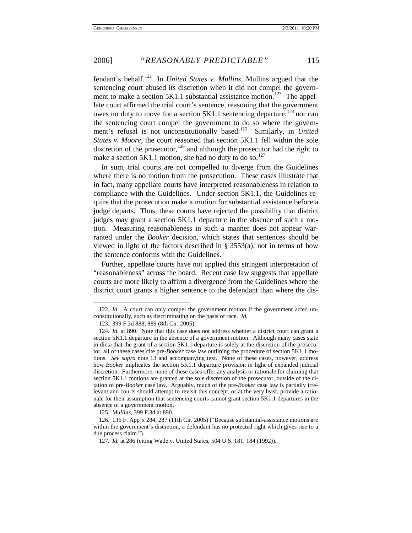fendant's behalf.<sup>[122](#page-15-0)</sup> In *United States v. Mullins*, Mullins argued that the sentencing court abused its discretion when it did not compel the government to make a section  $5K1.1$  substantial assistance motion.<sup>123</sup> The appellate court affirmed the trial court's sentence, reasoning that the government owes no duty to move for a section  $5K1.1$  sentencing departure,  $^{124}$  $^{124}$  $^{124}$  nor can the sentencing court compel the government to do so where the govern-ment's refusal is not unconstitutionally based.<sup>[125](#page-15-3)</sup> Similarly, in *United States v. Moore*, the court reasoned that section 5K1.1 fell within the sole discretion of the prosecutor,<sup>[126](#page-15-4)</sup> and although the prosecutor had the right to make a section  $5K1.1$  motion, she had no duty to do so.<sup>[127](#page-15-5)</sup>

In sum, trial courts are not compelled to diverge from the Guidelines where there is no motion from the prosecution. These cases illustrate that in fact, many appellate courts have interpreted reasonableness in relation to compliance with the Guidelines. Under section 5K1.1, the Guidelines require that the prosecution make a motion for substantial assistance before a judge departs. Thus, these courts have rejected the possibility that district judges may grant a section 5K1.1 departure in the absence of such a motion. Measuring reasonableness in such a manner does not appear warranted under the *Booker* decision, which states that sentences should be viewed in light of the factors described in  $\S$  3553(a), not in terms of how the sentence conforms with the Guidelines.

Further, appellate courts have not applied this stringent interpretation of "reasonableness" across the board. Recent case law suggests that appellate courts are more likely to affirm a divergence from the Guidelines where the district court grants a higher sentence to the defendant than where the dis-

-

125. *Mullins*, 399 F.3d at 890.

<span id="page-15-0"></span><sup>122</sup>*. Id.* A court can only compel the government motion if the government acted unconstitutionally, such as discriminating on the basis of race. *Id.*

<sup>123.</sup> 399 F.3d 888, 889 (8th Cir. 2005).

<span id="page-15-2"></span><span id="page-15-1"></span><sup>124</sup>*. Id.* at 890. Note that this case does not address whether a district court can grant a section 5K1.1 departure in the absence of a government motion. Although many cases state in dicta that the grant of a section 5K1.1 departure is solely at the discretion of the prosecutor, all of these cases cite pre-*Booker* case law outlining the procedure of section 5K1.1 motions. *See supra* note 13 and accompanying text. None of these cases, however, address how *Booker* implicates the section 5K1.1 departure provision in light of expanded judicial discretion. Furthermore, none of these cases offer any analysis or rationale for claiming that section 5K1.1 motions are granted at the sole discretion of the prosecutor, outside of the citation of pre-*Booker* case law. Arguably, much of the pre-*Booker* case law is partially irrelevant and courts should attempt to revisit this concept, or at the very least, provide a rationale for their assumption that sentencing courts cannot grant section 5K1.1 departures in the absence of a government motion.

<span id="page-15-5"></span><span id="page-15-4"></span><span id="page-15-3"></span><sup>126.</sup> 136 F. App'x 284, 287 (11th Cir. 2005) ("Because substantial-assistance motions are within the government's discretion, a defendant has no protected right which gives rise to a due process claim.").

<sup>127</sup>*. Id.* at 286 (citing Wade v. United States, 504 U.S. 181, 184 (1992)).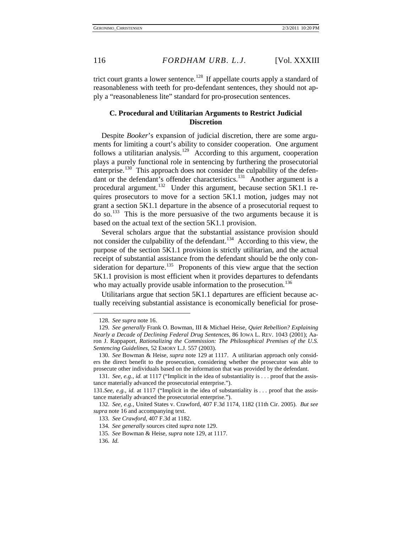trict court grants a lower sentence.<sup>[128](#page-16-1)</sup> If appellate courts apply a standard of reasonableness with teeth for pro-defendant sentences, they should not apply a "reasonableness lite" standard for pro-prosecution sentences.

#### <span id="page-16-0"></span>**C. Procedural and Utilitarian Arguments to Restrict Judicial Discretion**

Despite *Booker*'s expansion of judicial discretion, there are some arguments for limiting a court's ability to consider cooperation. One argument follows a utilitarian analysis.<sup>[129](#page-16-2)</sup> According to this argument, cooperation plays a purely functional role in sentencing by furthering the prosecutorial enterprise.<sup>[130](#page-16-3)</sup> This approach does not consider the culpability of the defen-dant or the defendant's offender characteristics.<sup>[131](#page-16-4)</sup> Another argument is a procedural argument.<sup>132</sup> Under this argument, because section 5K1.1 requires prosecutors to move for a section 5K1.1 motion, judges may not grant a section 5K1.1 departure in the absence of a prosecutorial request to do so.[133](#page-16-6) This is the more persuasive of the two arguments because it is based on the actual text of the section 5K1.1 provision.

Several scholars argue that the substantial assistance provision should not consider the culpability of the defendant.<sup>134</sup> According to this view, the purpose of the section 5K1.1 provision is strictly utilitarian, and the actual receipt of substantial assistance from the defendant should be the only consideration for departure.<sup>135</sup> Proponents of this view argue that the section 5K1.1 provision is most efficient when it provides departures to defendants who may actually provide usable information to the prosecution.<sup>[136](#page-16-9)</sup>

Utilitarians argue that section 5K1.1 departures are efficient because actually receiving substantial assistance is economically beneficial for prose-

<sup>128</sup>*. See supra* note [16.](#page-3-5)

<span id="page-16-2"></span><span id="page-16-1"></span><sup>129</sup>*. See generally* Frank O. Bowman, III & Michael Heise, *Quiet Rebellion? Explaining Nearly a Decade of Declining Federal Drug Sentences*, 86 IOWA L. REV. 1043 (2001); Aaron J. Rappaport, *Rationalizing the Commission: The Philosophical Premises of the U.S. Sentencing Guidelines*, 52 EMORY L.J. 557 (2003).

<span id="page-16-3"></span><sup>130</sup>*. See* Bowman & Heise, *supra* note [129](#page-16-0) at 1117. A utilitarian approach only considers the direct benefit to the prosecution, considering whether the prosecutor was able to prosecute other individuals based on the information that was provided by the defendant.

<sup>131</sup>*. See, e.g.*, *id.* at 1117 ("Implicit in the idea of substantiality is . . . proof that the assistance materially advanced the prosecutorial enterprise.").

<span id="page-16-4"></span><sup>131</sup>*.See, e.g.*, *id.* at 1117 ("Implicit in the idea of substantiality is . . . proof that the assistance materially advanced the prosecutorial enterprise.").

<span id="page-16-8"></span><span id="page-16-7"></span><span id="page-16-6"></span><span id="page-16-5"></span><sup>132</sup>*. See, e.g.*, [United States v. Crawford, 407 F.3d 1174, 1182 \(11th Cir. 2005\).](http://www.lexis.com/research/buttonTFLink?_m=1d25b8189a3cfdc9ebf781593a29d836&_xfercite=%3ccite%20cc%3d%22USA%22%3e%3c%21%5bCDATA%5b2005%20U.S.%20App.%20LEXIS%2022052%5d%5d%3e%3c%2fcite%3e&_butType=3&_butStat=2&_butNum=8&_butInline=1&_butinfo=%3ccite%20cc%3d%22USA%22%3e%3c%21%5bCDATA%5b407%20F.3d%201174%5d%5d%3e%3c%2fcite%3e&_fmtstr=FULL&docnum=9&_startdoc=1&wchp=dGLbVtb-zSkAW&_md5=7a02e3b6fed4f4163d4cc9d6a7d5f228) *But see supra* not[e 16](#page-3-5) and accompanying text.

<sup>133</sup>*. See Crawford*, 407 F.3d at 1182.

<sup>134</sup>*. See generally* sources cited *supra* not[e 129.](#page-16-0)

<sup>135</sup>*. See* Bowman & Heise, *supra* note [129,](#page-16-0) at 1117.

<span id="page-16-9"></span><sup>136</sup>*. Id.*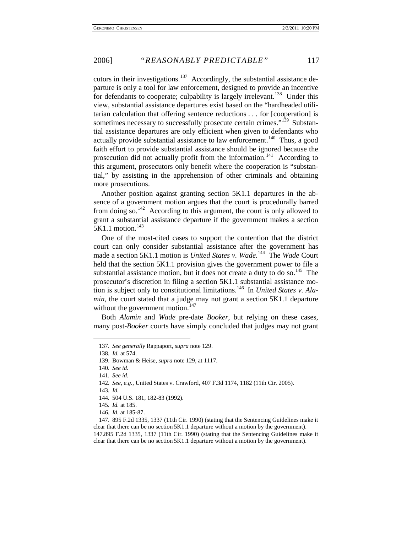cutors in their investigations.<sup>137</sup> Accordingly, the substantial assistance departure is only a tool for law enforcement, designed to provide an incentive for defendants to cooperate; culpability is largely irrelevant.<sup>[138](#page-17-1)</sup> Under this view, substantial assistance departures exist based on the "hardheaded utilitarian calculation that offering sentence reductions . . . for [cooperation] is sometimes necessary to successfully prosecute certain crimes."<sup>[139](#page-17-2)</sup> Substantial assistance departures are only efficient when given to defendants who actually provide substantial assistance to law enforcement.<sup>[140](#page-17-3)</sup> Thus, a good faith effort to provide substantial assistance should be ignored because the prosecution did not actually profit from the information.<sup>[141](#page-17-4)</sup> According to this argument, prosecutors only benefit where the cooperation is "substantial," by assisting in the apprehension of other criminals and obtaining more prosecutions.

Another position against granting section 5K1.1 departures in the absence of a government motion argues that the court is procedurally barred from doing so.<sup>[142](#page-17-5)</sup> According to this argument, the court is only allowed to grant a substantial assistance departure if the government makes a section  $5K1.1$  motion.<sup>[143](#page-17-6)</sup>

One of the most-cited cases to support the contention that the district court can only consider substantial assistance after the government has made a section 5K1.1 motion is *United States v. Wade*.<sup>144</sup> The *Wade* Court held that the section 5K1.1 provision gives the government power to file a substantial assistance motion, but it does not create a duty to do so.<sup>[145](#page-17-8)</sup> The prosecutor's discretion in filing a section 5K1.1 substantial assistance motion is subject only to constitutional limitations.[146](#page-17-9) In *United States v. Alamin*, the court stated that a judge may not grant a section 5K1.1 departure without the government motion. $147$ 

<span id="page-17-0"></span>Both *Alamin* and *Wade* pre-date *Booker*, but relying on these cases, many post-*Booker* courts have simply concluded that judges may not grant

<span id="page-17-6"></span><span id="page-17-5"></span>143*. Id.*

<sup>137</sup>*. See generally* Rappaport, *supra* not[e 129.](#page-16-0)

<span id="page-17-1"></span><sup>138</sup>*. Id.* at 574.

<span id="page-17-2"></span><sup>139.</sup> Bowman & Heise, *supra* note 129, at 1117.

<sup>140</sup>*. See id.*

<span id="page-17-4"></span><span id="page-17-3"></span><sup>141</sup>*. See id.*

<sup>142</sup>*. See, e.g.*, United States v. Crawford, 407 F.3d 1174, 1182 (11th Cir. 2005).

<sup>144</sup>*.* 504 U.S. 181, 182-83 (1992).

<sup>145</sup>*. Id.* at 185.

<sup>146</sup>*. Id.* at 185-87.

<span id="page-17-10"></span><span id="page-17-9"></span><span id="page-17-8"></span><span id="page-17-7"></span><sup>147.</sup> 895 F.2d 1335, 1337 (11th Cir. 1990) (stating that the Sentencing Guidelines make it clear that there can be no section 5K1.1 departure without a motion by the government). 147.895 F.2d 1335, 1337 (11th Cir. 1990) (stating that the Sentencing Guidelines make it clear that there can be no section 5K1.1 departure without a motion by the government).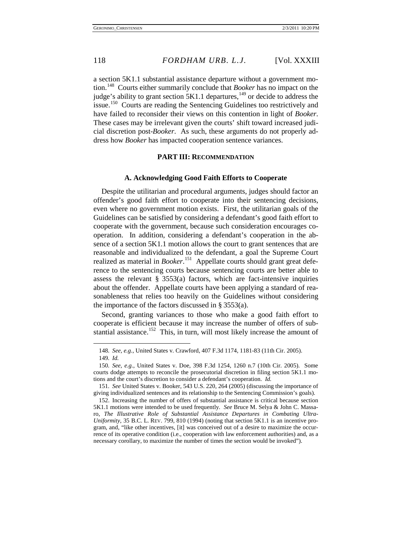a section 5K1.1 substantial assistance departure without a government motion.[148](#page-18-0) Courts either summarily conclude that *Booker* has no impact on the judge's ability to grant section 5K1.1 departures,<sup>[149](#page-18-1)</sup> or decide to address the issue.<sup>[150](#page-18-2)</sup> Courts are reading the Sentencing Guidelines too restrictively and have failed to reconsider their views on this contention in light of *Booker*. These cases may be irrelevant given the courts' shift toward increased judicial discretion post-*Booker*. As such, these arguments do not properly address how *Booker* has impacted cooperation sentence variances.

#### **PART III: RECOMMENDATION**

#### **A. Acknowledging Good Faith Efforts to Cooperate**

Despite the utilitarian and procedural arguments, judges should factor an offender's good faith effort to cooperate into their sentencing decisions, even where no government motion exists. First, the utilitarian goals of the Guidelines can be satisfied by considering a defendant's good faith effort to cooperate with the government, because such consideration encourages cooperation. In addition, considering a defendant's cooperation in the absence of a section 5K1.1 motion allows the court to grant sentences that are reasonable and individualized to the defendant, a goal the Supreme Court realized as material in *Booker*. [151](#page-18-3) Appellate courts should grant great deference to the sentencing courts because sentencing courts are better able to assess the relevant § 3553(a) factors, which are fact-intensive inquiries about the offender. Appellate courts have been applying a standard of reasonableness that relies too heavily on the Guidelines without considering the importance of the factors discussed in § 3553(a).

Second, granting variances to those who make a good faith effort to cooperate is efficient because it may increase the number of offers of sub-stantial assistance.<sup>[152](#page-18-4)</sup> This, in turn, will most likely increase the amount of

<sup>148</sup>*. See, e.g.*, [United States v. Crawford, 407 F.3d 1174, 1181-83 \(11th Cir. 2005\).](http://www.lexis.com/research/buttonTFLink?_m=1d25b8189a3cfdc9ebf781593a29d836&_xfercite=%3ccite%20cc%3d%22USA%22%3e%3c%21%5bCDATA%5b2005%20U.S.%20App.%20LEXIS%2022052%5d%5d%3e%3c%2fcite%3e&_butType=3&_butStat=2&_butNum=8&_butInline=1&_butinfo=%3ccite%20cc%3d%22USA%22%3e%3c%21%5bCDATA%5b407%20F.3d%201174%5d%5d%3e%3c%2fcite%3e&_fmtstr=FULL&docnum=9&_startdoc=1&wchp=dGLbVtb-zSkAW&_md5=7a02e3b6fed4f4163d4cc9d6a7d5f228)

<sup>149</sup>*. Id.*

<span id="page-18-2"></span><span id="page-18-1"></span><span id="page-18-0"></span><sup>150</sup>*. See, e.g.*, United States v. Doe, 398 F.3d 1254, 1260 n.7 (10th Cir. 2005). Some courts dodge attempts to reconcile the prosecutorial discretion in filing section 5K1.1 motions and the court's discretion to consider a defendant's cooperation. *Id.*

<span id="page-18-3"></span><sup>151</sup>*. See* United States v. Booker, 543 U.S. 220, 264 (2005) (discussing the importance of giving individualized sentences and its relationship to the Sentencing Commission's goals).

<span id="page-18-4"></span><sup>152.</sup> Increasing the number of offers of substantial assistance is critical because section 5K1.1 motions were intended to be used frequently. *See* Bruce M. Selya & John C. Massaro, *The Illustrative Role of Substantial Assistance Departures in Combating Ultra-Uniformity*, 35 B.C. L. REV. [799, 810 \(1994\)](http://www.lexis.com/research/buttonTFLink?_m=bc2fa3e567f4cbdc9cbed62268a0e075&_xfercite=%3ccite%20cc%3d%22USA%22%3e%3c%21%5bCDATA%5b52%20Emory%20L.J.%20557%5d%5d%3e%3c%2fcite%3e&_butType=3&_butStat=2&_butNum=307&_butInline=1&_butinfo=%3ccite%20cc%3d%22USA%22%3e%3c%21%5bCDATA%5b35%20B.C.%20L.%20Rev%20799%2cat%20810%5d%5d%3e%3c%2fcite%3e&_fmtstr=FULL&docnum=1&_startdoc=1&wchp=dGLbVlz-zSkAV&_md5=8edf73dd0601ee3d090346a2f954ddfe) (noting that section 5K1.1 is an incentive program, and, "like other incentives, [it] was conceived out of a desire to maximize the occurrence of its operative condition (i.e., cooperation with law enforcement authorities) and, as a necessary corollary, to maximize the number of times the section would be invoked").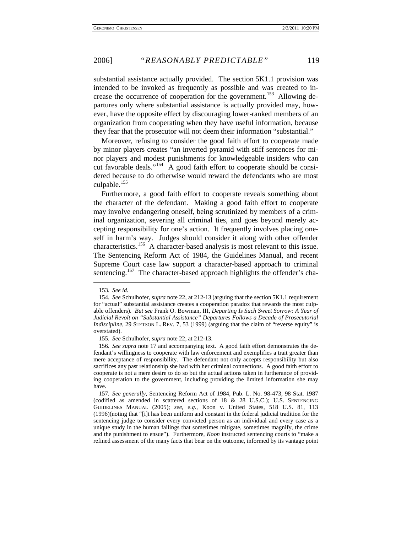substantial assistance actually provided. The section 5K1.1 provision was intended to be invoked as frequently as possible and was created to in-crease the occurrence of cooperation for the government.<sup>[153](#page-19-0)</sup> Allowing departures only where substantial assistance is actually provided may, however, have the opposite effect by discouraging lower-ranked members of an organization from cooperating when they have useful information, because they fear that the prosecutor will not deem their information "substantial."

Moreover, refusing to consider the good faith effort to cooperate made by minor players creates "an inverted pyramid with stiff sentences for minor players and modest punishments for knowledgeable insiders who can cut favorable deals."<sup>154</sup> A good faith effort to cooperate should be considered because to do otherwise would reward the defendants who are most culpable. $155$ 

Furthermore, a good faith effort to cooperate reveals something about the character of the defendant. Making a good faith effort to cooperate may involve endangering oneself, being scrutinized by members of a criminal organization, severing all criminal ties, and goes beyond merely accepting responsibility for one's action. It frequently involves placing oneself in harm's way. Judges should consider it along with other offender characteristics.<sup>156</sup> A character-based analysis is most relevant to this issue. The Sentencing Reform Act of 1984, the Guidelines Manual, and recent Supreme Court case law support a character-based approach to criminal sentencing.<sup>[157](#page-19-4)</sup> The character-based approach highlights the offender's cha-

<sup>153</sup>*. See id.*

<span id="page-19-1"></span><span id="page-19-0"></span><sup>154</sup>*. See* Schulhofer, *supra* not[e 22,](#page-5-7) at 212-13 (arguing that the section 5K1.1 requirement for "actual" substantial assistance creates a cooperation paradox that rewards the most culpable offenders). *But see* Frank O. Bowman, III, *Departing Is Such Sweet Sorrow: A Year of Judicial Revolt on "Substantial Assistance" Departures Follows a Decade of Prosecutorial Indiscipline*, [29 STETSON L.](http://www.lexis.com/research/buttonTFLink?_m=bc2fa3e567f4cbdc9cbed62268a0e075&_xfercite=%3ccite%20cc%3d%22USA%22%3e%3c%21%5bCDATA%5b52%20Emory%20L.J.%20557%5d%5d%3e%3c%2fcite%3e&_butType=3&_butStat=2&_butNum=306&_butInline=1&_butinfo=%3ccite%20cc%3d%22USA%22%3e%3c%21%5bCDATA%5b29%20Stetson%20L.%20Rev.%207%2cat%2043%5d%5d%3e%3c%2fcite%3e&_fmtstr=FULL&docnum=1&_startdoc=1&wchp=dGLbVlz-zSkAV&_md5=6bd5e611263c29a13f85b4bbe2c9100b) REV. 7, 53 (1999) (arguing that the claim of "reverse equity" is overstated).

<sup>155</sup>*. See* Schulhofer, *supra* not[e 22,](#page-5-7) at 212-13.

<span id="page-19-3"></span><span id="page-19-2"></span><sup>156</sup>*. See supra* note [17](#page-4-4) and accompanying text. A good faith effort demonstrates the defendant's willingness to cooperate with law enforcement and exemplifies a trait greater than mere acceptance of responsibility. The defendant not only accepts responsibility but also sacrifices any past relationship she had with her criminal connections. A good faith effort to cooperate is not a mere desire to do so but the actual actions taken in furtherance of providing cooperation to the government, including providing the limited information she may have.

<span id="page-19-4"></span><sup>157</sup>*. See generally*, Sentencing Reform Act of 1984, Pub. L. No. 98-473, 98 Stat. 1987 (codified as amended in scattered sections of 18 & 28 U.S.C.); U.S. SENTENCING GUIDELINES MANUAL (2005); *see, e.g.*, Koon v. United States, [518 U.S. 81, 113](http://www.lexis.com/research/buttonTFLink?_m=21d16988d013a8cd063e0e1ae6ec732f&_xfercite=%3ccite%20cc%3d%22USA%22%3e%3c%21%5bCDATA%5b65%20U.%20Chi.%20L.%20Rev.%20975%5d%5d%3e%3c%2fcite%3e&_butType=3&_butStat=2&_butNum=162&_butInline=1&_butinfo=%3ccite%20cc%3d%22USA%22%3e%3c%21%5bCDATA%5b518%20U.S.%2081%5d%5d%3e%3c%2fcite%3e&_fmtstr=FULL&docnum=1&_startdoc=1&wchp=dGLbVlz-zSkAV&_md5=c3f9ac1bf94c9ed4500254bc529f5d02)  (1996)(noting that "[i]t has [been uniform and constant in the federal judicial tradition for the](http://www.lexis.com/research/buttonTFLink?_m=21d16988d013a8cd063e0e1ae6ec732f&_xfercite=%3ccite%20cc%3d%22USA%22%3e%3c%21%5bCDATA%5b65%20U.%20Chi.%20L.%20Rev.%20975%5d%5d%3e%3c%2fcite%3e&_butType=3&_butStat=2&_butNum=162&_butInline=1&_butinfo=%3ccite%20cc%3d%22USA%22%3e%3c%21%5bCDATA%5b518%20U.S.%2081%5d%5d%3e%3c%2fcite%3e&_fmtstr=FULL&docnum=1&_startdoc=1&wchp=dGLbVlz-zSkAV&_md5=c3f9ac1bf94c9ed4500254bc529f5d02)  [sentencing judge to consider every convicted person as an individual and every case as a](http://www.lexis.com/research/buttonTFLink?_m=21d16988d013a8cd063e0e1ae6ec732f&_xfercite=%3ccite%20cc%3d%22USA%22%3e%3c%21%5bCDATA%5b65%20U.%20Chi.%20L.%20Rev.%20975%5d%5d%3e%3c%2fcite%3e&_butType=3&_butStat=2&_butNum=162&_butInline=1&_butinfo=%3ccite%20cc%3d%22USA%22%3e%3c%21%5bCDATA%5b518%20U.S.%2081%5d%5d%3e%3c%2fcite%3e&_fmtstr=FULL&docnum=1&_startdoc=1&wchp=dGLbVlz-zSkAV&_md5=c3f9ac1bf94c9ed4500254bc529f5d02)  [unique study in the human failings that sometimes mitigate, sometimes magnify, the crime](http://www.lexis.com/research/buttonTFLink?_m=21d16988d013a8cd063e0e1ae6ec732f&_xfercite=%3ccite%20cc%3d%22USA%22%3e%3c%21%5bCDATA%5b65%20U.%20Chi.%20L.%20Rev.%20975%5d%5d%3e%3c%2fcite%3e&_butType=3&_butStat=2&_butNum=162&_butInline=1&_butinfo=%3ccite%20cc%3d%22USA%22%3e%3c%21%5bCDATA%5b518%20U.S.%2081%5d%5d%3e%3c%2fcite%3e&_fmtstr=FULL&docnum=1&_startdoc=1&wchp=dGLbVlz-zSkAV&_md5=c3f9ac1bf94c9ed4500254bc529f5d02)  [and the punishment to ensue"\).](http://www.lexis.com/research/buttonTFLink?_m=21d16988d013a8cd063e0e1ae6ec732f&_xfercite=%3ccite%20cc%3d%22USA%22%3e%3c%21%5bCDATA%5b65%20U.%20Chi.%20L.%20Rev.%20975%5d%5d%3e%3c%2fcite%3e&_butType=3&_butStat=2&_butNum=162&_butInline=1&_butinfo=%3ccite%20cc%3d%22USA%22%3e%3c%21%5bCDATA%5b518%20U.S.%2081%5d%5d%3e%3c%2fcite%3e&_fmtstr=FULL&docnum=1&_startdoc=1&wchp=dGLbVlz-zSkAV&_md5=c3f9ac1bf94c9ed4500254bc529f5d02) Furthermore, *Koon* instructed sentencing courts to "make a refined assessment of the many facts that bear on the outcome, informed by its vantage point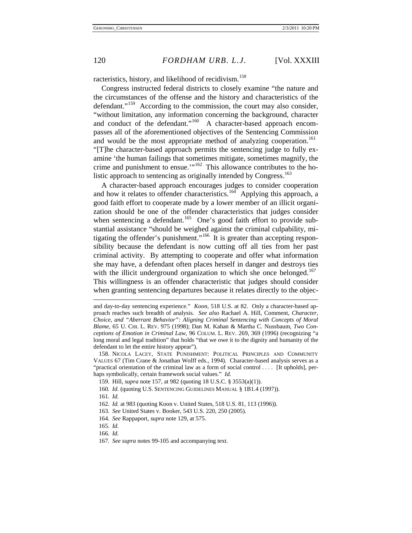racteristics, history, and likelihood of recidivism.<sup>[158](#page-20-0)</sup>

Congress instructed federal districts to closely examine "the nature and the circumstances of the offense and the history and characteristics of the defendant."<sup>159</sup> According to the commission, the court may also consider, "without limitation, any information concerning the background, character and conduct of the defendant."<sup>160</sup> A character-based approach encompasses all of the aforementioned objectives of the Sentencing Commission and would be the most appropriate method of analyzing cooperation.<sup>[161](#page-20-3)</sup> "[T]he character-based approach permits the sentencing judge to fully examine 'the human failings that sometimes mitigate, sometimes magnify, the crime and punishment to ensue.'"<sup>[162](#page-20-4)</sup> This allowance contributes to the holistic approach to sentencing as originally intended by  $Congress.$ <sup>[163](#page-20-5)</sup>

A character-based approach encourages judges to consider cooperation and how it relates to offender characteristics.<sup>164</sup> Applying this approach, a good faith effort to cooperate made by a lower member of an illicit organization should be one of the offender characteristics that judges consider when sentencing a defendant.<sup>165</sup> One's good faith effort to provide substantial assistance "should be weighed against the criminal culpability, mi-tigating the offender's punishment."<sup>[166](#page-20-8)</sup> It is greater than accepting responsibility because the defendant is now cutting off all ties from her past criminal activity. By attempting to cooperate and offer what information she may have, a defendant often places herself in danger and destroys ties with the illicit underground organization to which she once belonged.<sup>[167](#page-20-9)</sup> This willingness is an offender characteristic that judges should consider when granting sentencing departures because it relates directly to the objec-

<span id="page-20-2"></span>160*. Id.* (quoting U.S. SENTENCING GUIDELINES MANUAL § 1B1.4 (1997)).

161*. Id.*

- <span id="page-20-5"></span><span id="page-20-4"></span><span id="page-20-3"></span>162*. Id.* at 983 (quoting Koon v. United States, 518 U.S. 81, 113 (1996)).
- 163*. See* United States v. Booker, 543 U.S. 220, 250 (2005).
- 164*. See* Rappaport, *supra* note [129,](#page-16-0) at 575.
- <span id="page-20-8"></span><span id="page-20-7"></span><span id="page-20-6"></span>165*. Id.*
- 166*. Id.*

and day-to-day sentencing experience." *Koon*, 518 U.S. at 82. Only a character-based approach reaches such breadth of analysis. *See also* Rachael A. Hill, Comment, *Character, Choice, and "Aberrant Behavior": Aligning Criminal Sentencing with Concepts of Moral Blame*, 65 U. CHI. L. REV. 975 (1998); Dan M. Kahan & Martha C. Nussbaum, *Two Conceptions of Emotion in Criminal Law*, 96 COLUM. L. REV. [269, 369 \(1996\)](http://www.lexis.com/research/buttonTFLink?_m=21d16988d013a8cd063e0e1ae6ec732f&_xfercite=%3ccite%20cc%3d%22USA%22%3e%3c%21%5bCDATA%5b65%20U.%20Chi.%20L.%20Rev.%20975%5d%5d%3e%3c%2fcite%3e&_butType=3&_butStat=2&_butNum=155&_butInline=1&_butinfo=%3ccite%20cc%3d%22USA%22%3e%3c%21%5bCDATA%5b96%20Colum.%20L.%20Rev.%20269%2cat%20369%5d%5d%3e%3c%2fcite%3e&_fmtstr=FULL&docnum=1&_startdoc=1&wchp=dGLbVlz-zSkAV&_md5=2630b0ac340ec46d0c268d1ab7ac2532) (recognizing "a long moral and legal tradition" that holds "that we owe it to the dignity and humanity of the defendant to let the entire history appear").

<span id="page-20-1"></span><span id="page-20-0"></span><sup>158.</sup> NICOLA LACEY, STATE PUNISHMENT: POLITICAL PRINCIPLES AND COMMUNITY VALUES 67 (Tim Crane & Jonathan Wolff eds., 1994). Character-based analysis serves as a "practical orientation of the criminal law as a form of social control . . . . [It upholds], perhaps symbolically, certain framework social values." *Id.*

<sup>159.</sup> Hill, *supra* note 157, at 982 (quoting 18 U.S.C. § 3553(a)(1)).

<span id="page-20-9"></span><sup>167</sup>*. See supra* note[s 99](#page-12-12)[-105](#page-13-10) and accompanying text.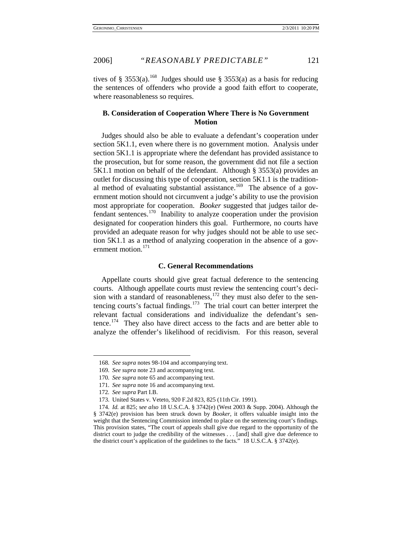tives of § 3553(a).<sup>[168](#page-21-0)</sup> Judges should use § 3553(a) as a basis for reducing the sentences of offenders who provide a good faith effort to cooperate, where reasonableness so requires.

#### **B. Consideration of Cooperation Where There is No Government Motion**

Judges should also be able to evaluate a defendant's cooperation under section 5K1.1, even where there is no government motion. Analysis under section 5K1.1 is appropriate where the defendant has provided assistance to the prosecution, but for some reason, the government did not file a section 5K1.1 motion on behalf of the defendant. Although § 3553(a) provides an outlet for discussing this type of cooperation, section 5K1.1 is the tradition-al method of evaluating substantial assistance.<sup>[169](#page-21-1)</sup> The absence of a government motion should not circumvent a judge's ability to use the provision most appropriate for cooperation. *Booker* suggested that judges tailor defendant sentences.<sup>170</sup> Inability to analyze cooperation under the provision designated for cooperation hinders this goal. Furthermore, no courts have provided an adequate reason for why judges should not be able to use section 5K1.1 as a method of analyzing cooperation in the absence of a gov-ernment motion.<sup>[171](#page-21-3)</sup>

#### **C. General Recommendations**

Appellate courts should give great factual deference to the sentencing courts. Although appellate courts must review the sentencing court's decision with a standard of reasonableness,  $172$  they must also defer to the sentencing courts's factual findings.[173](#page-21-5) The trial court can better interpret the relevant factual considerations and individualize the defendant's sen-tence.<sup>[174](#page-21-6)</sup> They also have direct access to the facts and are better able to analyze the offender's likelihood of recidivism. For this reason, several

<span id="page-21-0"></span><sup>168</sup>*. See supra* notes 98-104 and accompanying text.

<span id="page-21-1"></span><sup>169</sup>*. See supra* note [23](#page-5-8) and accompanying text.

<sup>170</sup>*. See supra* note [65](#page-9-11) and accompanying text.

<sup>171</sup>*. See supra* note 16 and accompanying text.

<sup>172</sup>*. See supra* Part I.B.

<sup>173.</sup> United States v. Veteto, 920 F.2d 823, 825 (11th Cir. 1991).

<span id="page-21-6"></span><span id="page-21-5"></span><span id="page-21-4"></span><span id="page-21-3"></span><span id="page-21-2"></span><sup>174</sup>*. Id.* at 825; s*ee also* [18 U.S.C.A. § 3742\(e\)](http://web2.westlaw.com/find/default.wl?rs=WLW5.11&tf=-1&docname=18USCAS3742&db=1000546&tc=-1&fn=_top&referenceposition=40&mt=Westlaw&vr=2.0&sv=Split&referencepositiontype=S&rp=%2ffind%2fdefault.wl&findtype=L) (West 2003 & Supp. 2004). Although the § 3742(e) provision has been struck down by *Booker*, it offers valuable insight into the weight that the Sentencing Commission intended to place on the sentencing court's findings. This provision states, "The court of appeals shall give due regard to the opportunity of the district court to judge the credibility of the witnesses . . . [and] shall give due deference to the district court's application of the guidelines to the facts." 18 U.S.C.A. § 3742(e).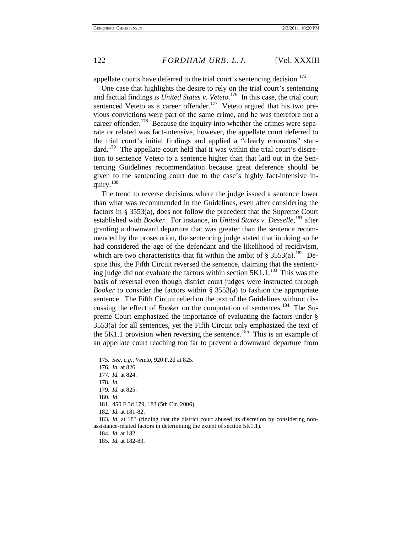appellate courts have deferred to the trial court's sentencing decision.<sup>[175](#page-22-0)</sup>

One case that highlights the desire to rely on the trial court's sentencing and factual findings is *United States v. Veteto*. [176](#page-22-1) In this case, the trial court sentenced Veteto as a career offender.<sup>[177](#page-22-2)</sup> Veteto argued that his two previous convictions were part of the same crime, and he was therefore not a career offender.<sup>178</sup> Because the inquiry into whether the crimes were separate or related was fact-intensive, however, the appellate court deferred to the trial court's initial findings and applied a "clearly erroneous" stan-dard.<sup>[179](#page-22-4)</sup> The appellate court held that it was within the trial court's discretion to sentence Veteto to a sentence higher than that laid out in the Sentencing Guidelines recommendation because great deference should be given to the sentencing court due to the case's highly fact-intensive in-quiry.<sup>[180](#page-22-5)</sup>

The trend to reverse decisions where the judge issued a sentence lower than what was recommended in the Guidelines, even after considering the factors in § 3553(a), does not follow the precedent that the Supreme Court established with *Booker*. For instance, in *United States v. Desselle*, [181](#page-22-6) after granting a downward departure that was greater than the sentence recommended by the prosecution, the sentencing judge stated that in doing so he had considered the age of the defendant and the likelihood of recidivism, which are two characteristics that fit within the ambit of § 3553(a).<sup>182</sup> Despite this, the Fifth Circuit reversed the sentence, claiming that the sentencing judge did not evaluate the factors within section  $5K1.1$ <sup>[183](#page-22-8)</sup>. This was the basis of reversal even though district court judges were instructed through *Booker* to consider the factors within § 3553(a) to fashion the appropriate sentence. The Fifth Circuit relied on the text of the Guidelines without discussing the effect of *Booker* on the computation of sentences.<sup>[184](#page-22-9)</sup> The Supreme Court emphasized the importance of evaluating the factors under § 3553(a) for all sentences, yet the Fifth Circuit only emphasized the text of the 5K1.1 provision when reversing the sentence.<sup>[185](#page-22-10)</sup> This is an example of an appellate court reaching too far to prevent a downward departure from

<span id="page-22-2"></span><span id="page-22-1"></span><span id="page-22-0"></span>-

184*. Id.* at 182.

<sup>175</sup>*. See, e.g.*, *Veteto*, 920 F.2d at 825.

<sup>176</sup>*. Id.* at 826.

<span id="page-22-3"></span><sup>177</sup>*. Id.* at 824.

<sup>178</sup>*. Id.*

<sup>179</sup>*. Id.* at 825.

<sup>180</sup>*. Id.*

<sup>181.</sup> 450 F.3d 179, 183 (5th Cir. 2006).

<sup>182</sup>*. Id.* at 181-82.

<span id="page-22-10"></span><span id="page-22-9"></span><span id="page-22-8"></span><span id="page-22-7"></span><span id="page-22-6"></span><span id="page-22-5"></span><span id="page-22-4"></span><sup>183</sup>*. Id.* at 183 (finding that the district court abused its discretion by considering nonassistance-related factors in determining the extent of section 5K1.1).

<sup>185</sup>*. Id.* at 182-83.